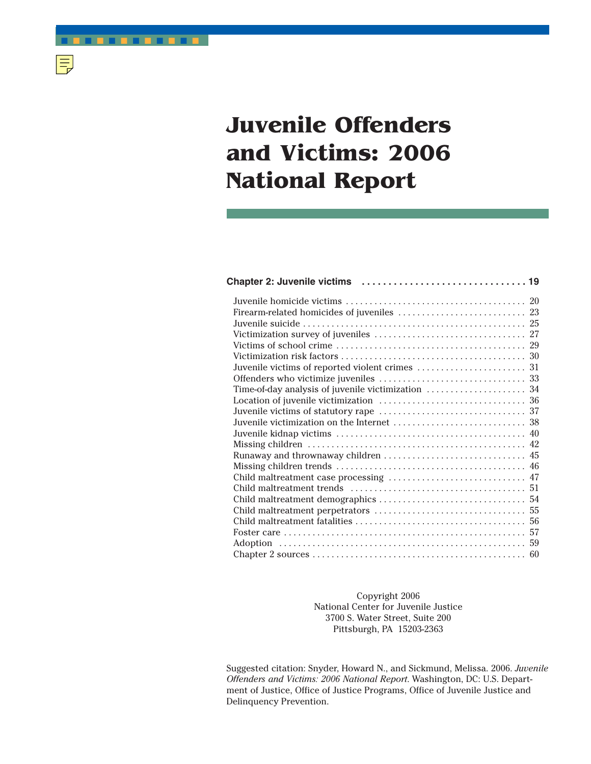# **Juvenile Offenders and Victims: 2006 National Report**

■ ■ ■ ■ ■ ■ ■ ■ ■ ■ ■ ■

 $|\equiv$ 

Copyright 2006 National Center for Juvenile Justice 3700 S. Water Street, Suite 200 Pittsburgh, PA 15203-2363

Suggested citation: Snyder, Howard N., and Sickmund, Melissa. 2006. *Juvenile Offenders and Victims: 2006 National Report*. Washington, DC: U.S. Department of Justice, Office of Justice Programs, Office of Juvenile Justice and Delinquency Prevention.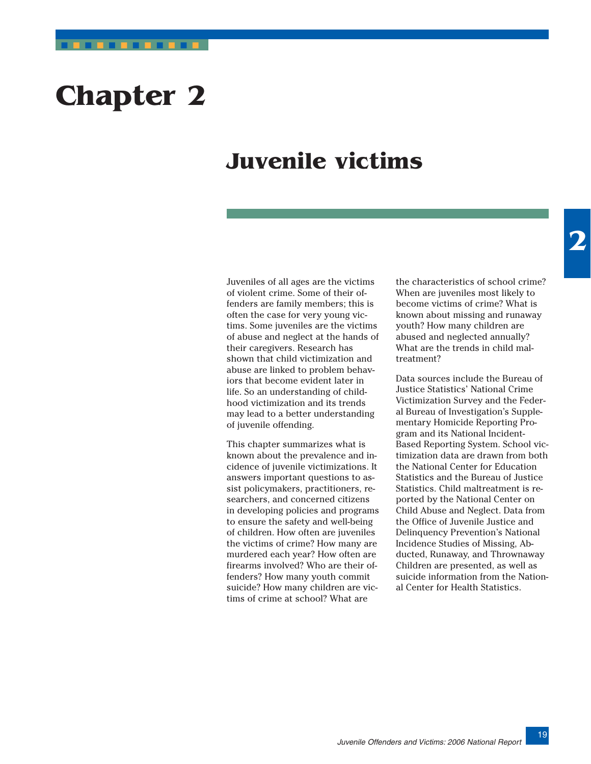# <span id="page-1-0"></span>**Chapter 2**

# **Juvenile victims**

Juveniles of all ages are the victims of violent crime. Some of their offenders are family members; this is often the case for very young victims. Some juveniles are the victims of abuse and neglect at the hands of their caregivers. Research has shown that child victimization and abuse are linked to problem behaviors that become evident later in life. So an understanding of childhood victimization and its trends may lead to a better understanding of juvenile offending.

This chapter summarizes what is known about the prevalence and incidence of juvenile victimizations. It answers important questions to assist policymakers, practitioners, researchers, and concerned citizens in developing policies and programs to ensure the safety and well-being of children. How often are juveniles the victims of crime? How many are murdered each year? How often are firearms involved? Who are their offenders? How many youth commit suicide? How many children are victims of crime at school? What are

the characteristics of school crime? When are juveniles most likely to become victims of crime? What is known about missing and runaway youth? How many children are abused and neglected annually? What are the trends in child maltreatment?

Data sources include the Bureau of Justice Statistics' National Crime Victimization Survey and the Federal Bureau of Investigation's Supplementary Homicide Reporting Program and its National Incident-Based Reporting System. School victimization data are drawn from both the National Center for Education Statistics and the Bureau of Justice Statistics. Child maltreatment is reported by the National Center on Child Abuse and Neglect. Data from the Office of Juvenile Justice and Delinquency Prevention's National Incidence Studies of Missing, Abducted, Runaway, and Thrownaway Children are presented, as well as suicide information from the National Center for Health Statistics.

19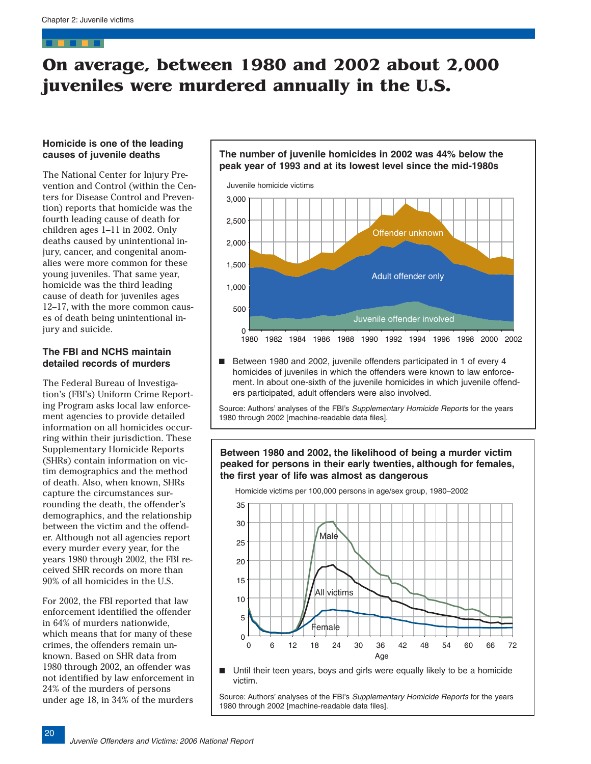# <span id="page-2-0"></span>**On average, between 1980 and 2002 about 2,000 juveniles were murdered annually in the U.S.**

# **Homicide is one of the leading causes of juvenile deaths**

The National Center for Injury Prevention and Control (within the Centers for Disease Control and Prevention) reports that homicide was the fourth leading cause of death for children ages 1–11 in 2002. Only deaths caused by unintentional injury, cancer, and congenital anomalies were more common for these young juveniles. That same year, homicide was the third leading cause of death for juveniles ages 12–17, with the more common causes of death being unintentional injury and suicide.

### **The FBI and NCHS maintain detailed records of murders**

The Federal Bureau of Investigation's (FBI's) Uniform Crime Reporting Program asks local law enforcement agencies to provide detailed information on all homicides occurring within their jurisdiction. These Supplementary Homicide Reports (SHRs) contain information on victim demographics and the method of death. Also, when known, SHRs capture the circumstances surrounding the death, the offender's demographics, and the relationship between the victim and the offender. Although not all agencies report every murder every year, for the years 1980 through 2002, the FBI received SHR records on more than 90% of all homicides in the U.S.

For 2002, the FBI reported that law enforcement identified the offender in 64% of murders nationwide, which means that for many of these crimes, the offenders remain unknown. Based on SHR data from 1980 through 2002, an offender was not identified by law enforcement in 24% of the murders of persons under age 18, in 34% of the murders



Between 1980 and 2002, juvenile offenders participated in 1 of every 4 homicides of juveniles in which the offenders were known to law enforcement. In about one-sixth of the juvenile homicides in which juvenile offenders participated, adult offenders were also involved.

Source: Authors' analyses of the FBI's Supplementary Homicide Reports for the years 1980 through 2002 [machine-readable data files].

# **Between 1980 and 2002, the likelihood of being a murder victim peaked for persons in their early twenties, although for females, the first year of life was almost as dangerous**



■ Until their teen years, boys and girls were equally likely to be a homicide victim.

Source: Authors' analyses of the FBI's Supplementary Homicide Reports for the years 1980 through 2002 [machine-readable data files].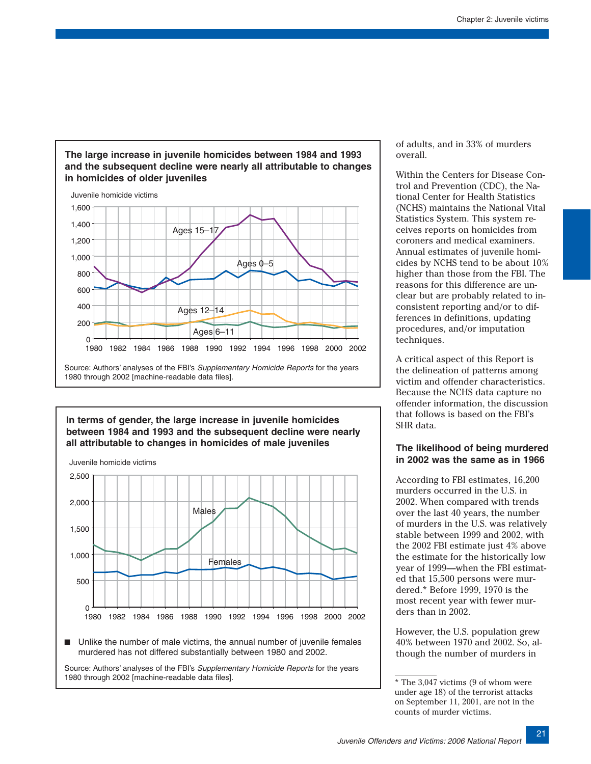



# **In terms of gender, the large increase in juvenile homicides between 1984 and 1993 and the subsequent decline were nearly all attributable to changes in homicides of male juveniles**



■ Unlike the number of male victims, the annual number of juvenile females murdered has not differed substantially between 1980 and 2002.

Source: Authors' analyses of the FBI's Supplementary Homicide Reports for the years 1980 through 2002 [machine-readable data files].

of adults, and in 33% of murders overall.

Within the Centers for Disease Control and Prevention (CDC), the National Center for Health Statistics (NCHS) maintains the National Vital Statistics System. This system receives reports on homicides from coroners and medical examiners. Annual estimates of juvenile homicides by NCHS tend to be about 10% higher than those from the FBI. The reasons for this difference are unclear but are probably related to inconsistent reporting and/or to differences in definitions, updating procedures, and/or imputation techniques.

A critical aspect of this Report is the delineation of patterns among victim and offender characteristics. Because the NCHS data capture no offender information, the discussion that follows is based on the FBI's SHR data.

# **The likelihood of being murdered in 2002 was the same as in 1966**

According to FBI estimates, 16,200 murders occurred in the U.S. in 2002. When compared with trends over the last 40 years, the number of murders in the U.S. was relatively stable between 1999 and 2002, with the 2002 FBI estimate just 4% above the estimate for the historically low year of 1999—when the FBI estimated that 15,500 persons were murdered.\* Before 1999, 1970 is the most recent year with fewer murders than in 2002.

However, the U.S. population grew 40% between 1970 and 2002. So, although the number of murders in

<sup>\*</sup> The 3,047 victims (9 of whom were under age 18) of the terrorist attacks on September 11, 2001, are not in the counts of murder victims.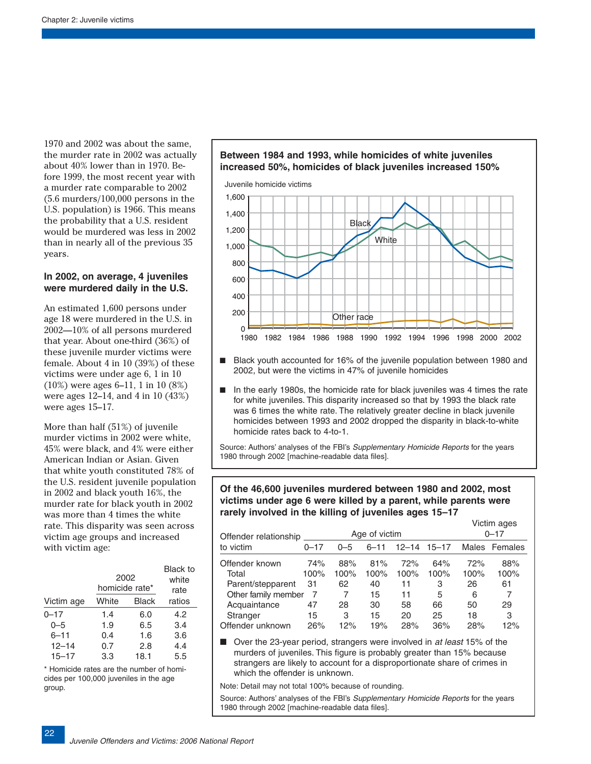1970 and 2002 was about the same, the murder rate in 2002 was actually about 40% lower than in 1970. Before 1999, the most recent year with a murder rate comparable to 2002 (5.6 murders/100,000 persons in the U.S. population) is 1966. This means the probability that a U.S. resident would be murdered was less in 2002 than in nearly all of the previous 35 years.

#### **In 2002, on average, 4 juveniles were murdered daily in the U.S.**

An estimated 1,600 persons under age 18 were murdered in the U.S. in 2002—10% of all persons murdered that year. About one-third (36%) of these juvenile murder victims were female. About 4 in 10 (39%) of these victims were under age 6, 1 in 10 (10%) were ages 6–11, 1 in 10 (8%) were ages 12–14, and 4 in 10 (43%) were ages 15–17.

More than half (51%) of juvenile murder victims in 2002 were white, 45% were black, and 4% were either American Indian or Asian. Given that white youth constituted 78% of the U.S. resident juvenile population in 2002 and black youth 16%, the murder rate for black youth in 2002 was more than 4 times the white rate. This disparity was seen across victim age groups and increased with victim age:

|            | 2002<br>homicide rate* |              |        |  |
|------------|------------------------|--------------|--------|--|
| Victim age | White                  | <b>Black</b> | ratios |  |
| $0 - 17$   | 1.4                    | 6.0          | 4.2    |  |
| $0 - 5$    | 1.9                    | 6.5          | 3.4    |  |
| $6 - 11$   | 0.4                    | 1.6          | 3.6    |  |
| $12 - 14$  | 0.7                    | 2.8          | 4.4    |  |
| $15 - 17$  | 3.3                    | 18.1         | 5.5    |  |

\* Homicide rates are the number of homicides per 100,000 juveniles in the age group.

22





- Black youth accounted for 16% of the juvenile population between 1980 and 2002, but were the victims in 47% of juvenile homicides
- In the early 1980s, the homicide rate for black juveniles was 4 times the rate for white juveniles. This disparity increased so that by 1993 the black rate was 6 times the white rate. The relatively greater decline in black juvenile homicides between 1993 and 2002 dropped the disparity in black-to-white homicide rates back to 4-to-1.

Source: Authors' analyses of the FBI's Supplementary Homicide Reports for the years 1980 through 2002 [machine-readable data files].

# **Of the 46,600 juveniles murdered between 1980 and 2002, most victims under age 6 were killed by a parent, while parents were rarely involved in the killing of juveniles ages 15–17**

| Offender relationship                                                                                                                            |          |         | Age of victim |           |           |      | Victim ages<br>$0 - 17$ |
|--------------------------------------------------------------------------------------------------------------------------------------------------|----------|---------|---------------|-----------|-----------|------|-------------------------|
| to victim                                                                                                                                        | $0 - 17$ | $0 - 5$ | $6 - 11$      | $12 - 14$ | $15 - 17$ |      | Males Females           |
| Offender known                                                                                                                                   | 74%      | 88%     | 81%           | 72%       | 64%       | 72%  | 88%                     |
| Total                                                                                                                                            | 100%     | 100%    | 100%          | 100%      | 100%      | 100% | 100%                    |
| Parent/stepparent                                                                                                                                | 31       | 62      | 40            | 11        | 3         | 26   | 61                      |
| Other family member                                                                                                                              | 7        | 7       | 15            | 11        | 5         | 6    | 7                       |
| Acquaintance                                                                                                                                     | 47       | 28      | 30            | 58        | 66        | 50   | 29                      |
| Stranger                                                                                                                                         | 15       | 3       | 15            | 20        | 25        | 18   | 3                       |
| Offender unknown                                                                                                                                 | 26%      | 12%     | 19%           | 28%       | 36%       | 28%  | 12%                     |
| Over the 23-year period, strangers were involved in at least 15% of the<br>murders of inveniles This figure is probably greater than 15% because |          |         |               |           |           |      |                         |

murders of juveniles. This figure is probably greater than 15% because strangers are likely to account for a disproportionate share of crimes in which the offender is unknown.

Note: Detail may not total 100% because of rounding.

Source: Authors' analyses of the FBI's Supplementary Homicide Reports for the years 1980 through 2002 [machine-readable data files].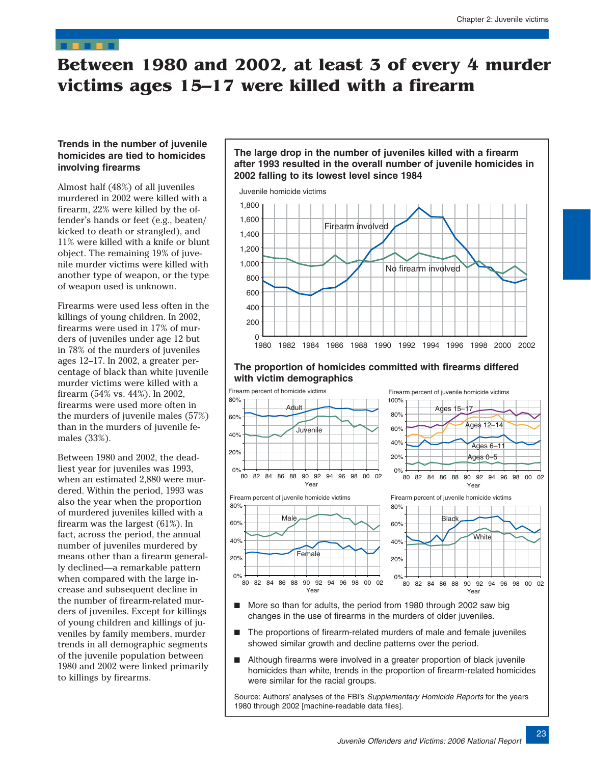# <span id="page-5-0"></span>**Between 1980 and 2002, at least 3 of every 4 murder victims ages 15–17 were killed with a firearm**

### **Trends in the number of juvenile homicides are tied to homicides involving firearms**

Almost half (48%) of all juveniles murdered in 2002 were killed with a firearm, 22% were killed by the offender's hands or feet (e.g., beaten/ kicked to death or strangled), and 11% were killed with a knife or blunt object. The remaining 19% of juvenile murder victims were killed with another type of weapon, or the type of weapon used is unknown.

Firearms were used less often in the killings of young children. In 2002, firearms were used in 17% of murders of juveniles under age 12 but in 78% of the murders of juveniles ages 12–17. In 2002, a greater percentage of black than white juvenile murder victims were killed with a firearm (54% vs. 44%). In 2002, firearms were used more often in the murders of juvenile males (57%) than in the murders of juvenile females (33%).

Between 1980 and 2002, the deadliest year for juveniles was 1993, when an estimated 2,880 were murdered. Within the period, 1993 was also the year when the proportion of murdered juveniles killed with a firearm was the largest (61%). In fact, across the period, the annual number of juveniles murdered by means other than a firearm generally declined—a remarkable pattern when compared with the large increase and subsequent decline in the number of firearm-related murders of juveniles. Except for killings of young children and killings of juveniles by family members, murder trends in all demographic segments of the juvenile population between 1980 and 2002 were linked primarily to killings by firearms.

# **The large drop in the number of juveniles killed with a firearm after 1993 resulted in the overall number of juvenile homicides in 2002 falling to its lowest level since 1984**

Juvenile homicide victims



#### **The proportion of homicides committed with firearms differed with victim demographics**



- More so than for adults, the period from 1980 through 2002 saw big changes in the use of firearms in the murders of older juveniles.
- The proportions of firearm-related murders of male and female juveniles showed similar growth and decline patterns over the period.
- Although firearms were involved in a greater proportion of black juvenile homicides than white, trends in the proportion of firearm-related homicides were similar for the racial groups.

Source: Authors' analyses of the FBI's Supplementary Homicide Reports for the years 1980 through 2002 [machine-readable data files].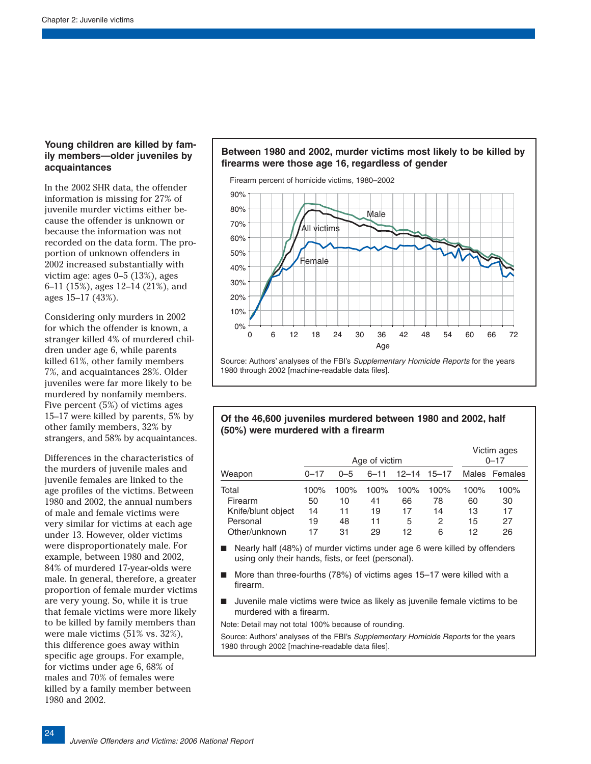# **Young children are killed by family members—older juveniles by acquaintances**

In the 2002 SHR data, the offender information is missing for 27% of juvenile murder victims either because the offender is unknown or because the information was not recorded on the data form. The proportion of unknown offenders in 2002 increased substantially with victim age: ages 0–5 (13%), ages 6–11 (15%), ages 12–14 (21%), and ages 15–17 (43%).

Considering only murders in 2002 for which the offender is known, a stranger killed 4% of murdered children under age 6, while parents killed 61%, other family members 7%, and acquaintances 28%. Older juveniles were far more likely to be murdered by nonfamily members. Five percent (5%) of victims ages 15–17 were killed by parents, 5% by other family members, 32% by strangers, and 58% by acquaintances.

Differences in the characteristics of the murders of juvenile males and juvenile females are linked to the age profiles of the victims. Between 1980 and 2002, the annual numbers of male and female victims were very similar for victims at each age under 13. However, older victims were disproportionately male. For example, between 1980 and 2002, 84% of murdered 17-year-olds were male. In general, therefore, a greater proportion of female murder victims are very young. So, while it is true that female victims were more likely to be killed by family members than were male victims (51% vs. 32%), this difference goes away within specific age groups. For example, for victims under age 6, 68% of males and 70% of females were killed by a family member between 1980 and 2002.

# **Between 1980 and 2002, murder victims most likely to be killed by firearms were those age 16, regardless of gender**



1980 through 2002 [machine-readable data files].

# **Of the 46,600 juveniles murdered between 1980 and 2002, half (50%) were murdered with a firearm**

|                    | Age of victim |         |          |      |                     | Victim ages<br>$0 - 17$ |               |
|--------------------|---------------|---------|----------|------|---------------------|-------------------------|---------------|
| Weapon             | $0 - 17$      | $0 - 5$ | $6 - 11$ |      | $12 - 14$ $15 - 17$ |                         | Males Females |
| Total              | 100%          | 100%    | 100%     | 100% | 100%                | 100%                    | 100%          |
| Firearm            | 50            | 10      | 41       | 66   | 78                  | 60                      | 30            |
| Knife/blunt object | 14            | 11      | 19       | 17   | 14                  | 13                      | 17            |
| Personal           | 19            | 48      | 11       | 5    | 2                   | 15                      | 27            |
| Other/unknown      | 17            | 31      | 29       | 12   | 6                   | 12                      | 26            |

- Nearly half (48%) of murder victims under age 6 were killed by offenders using only their hands, fists, or feet (personal).
- More than three-fourths (78%) of victims ages 15–17 were killed with a firearm.
- Juvenile male victims were twice as likely as juvenile female victims to be murdered with a firearm.

Note: Detail may not total 100% because of rounding.

Source: Authors' analyses of the FBI's Supplementary Homicide Reports for the years 1980 through 2002 [machine-readable data files].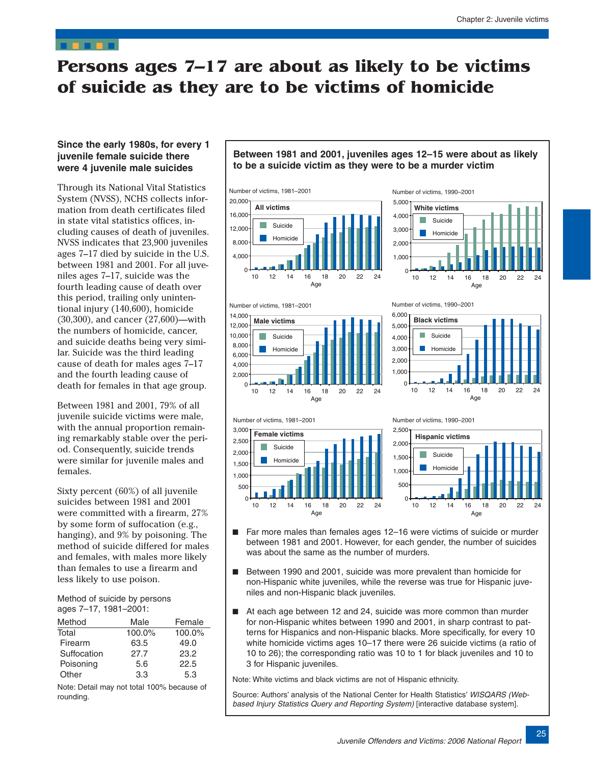# <span id="page-7-0"></span>**Persons ages 7–17 are about as likely to be victims of suicide as they are to be victims of homicide**

### **Since the early 1980s, for every 1 juvenile female suicide there were 4 juvenile male suicides**

Through its National Vital Statistics System (NVSS), NCHS collects information from death certificates filed in state vital statistics offices, including causes of death of juveniles. NVSS indicates that 23,900 juveniles ages 7–17 died by suicide in the U.S. between 1981 and 2001. For all juveniles ages 7–17, suicide was the fourth leading cause of death over this period, trailing only unintentional injury (140,600), homicide (30,300), and cancer (27,600)—with the numbers of homicide, cancer, and suicide deaths being very similar. Suicide was the third leading cause of death for males ages 7–17 and the fourth leading cause of death for females in that age group.

Between 1981 and 2001, 79% of all juvenile suicide victims were male, with the annual proportion remaining remarkably stable over the period. Consequently, suicide trends were similar for juvenile males and females.

Sixty percent (60%) of all juvenile suicides between 1981 and 2001 were committed with a firearm, 27% by some form of suffocation (e.g., hanging), and 9% by poisoning. The method of suicide differed for males and females, with males more likely than females to use a firearm and less likely to use poison.

Method of suicide by persons ages 7–17, 1981–2001:

| Method      | Male   | Female |
|-------------|--------|--------|
| Total       | 100.0% | 100.0% |
| Firearm     | 63.5   | 49.0   |
| Suffocation | 27.7   | 23.2   |
| Poisoning   | 5.6    | 22.5   |
| Other       | 3.3    | 5.3    |

Note: Detail may not total 100% because of rounding.

# **Between 1981 and 2001, juveniles ages 12–15 were about as likely to be a suicide victim as they were to be a murder victim**



500



10 12 14 16 18 20 22 24  $\Omega$ Age 10 12 14 16 18 20 22 24 0 Age ■ Far more males than females ages 12–16 were victims of suicide or murder between 1981 and 2001. However, for each gender, the number of suicides

500

Homicide

- Between 1990 and 2001, suicide was more prevalent than homicide for non-Hispanic white juveniles, while the reverse was true for Hispanic juveniles and non-Hispanic black juveniles.
- At each age between 12 and 24, suicide was more common than murder for non-Hispanic whites between 1990 and 2001, in sharp contrast to patterns for Hispanics and non-Hispanic blacks. More specifically, for every 10 white homicide victims ages 10–17 there were 26 suicide victims (a ratio of 10 to 26); the corresponding ratio was 10 to 1 for black juveniles and 10 to 3 for Hispanic juveniles.

Note: White victims and black victims are not of Hispanic ethnicity.

was about the same as the number of murders.

Source: Authors' analysis of the National Center for Health Statistics' WISQARS (Webbased Injury Statistics Query and Reporting System) [interactive database system].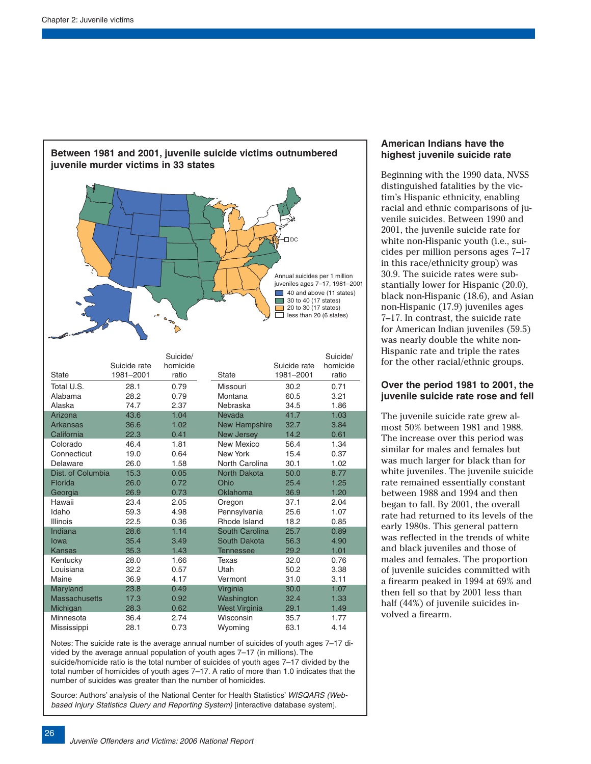

Notes: The suicide rate is the average annual number of suicides of youth ages 7–17 divided by the average annual population of youth ages 7–17 (in millions). The suicide/homicide ratio is the total number of suicides of youth ages 7–17 divided by the total number of homicides of youth ages 7–17. A ratio of more than 1.0 indicates that the number of suicides was greater than the number of homicides.

Source: Authors' analysis of the National Center for Health Statistics' WISQARS (Webbased Injury Statistics Query and Reporting System) [interactive database system].

# **American Indians have the highest juvenile suicide rate**

Beginning with the 1990 data, NVSS distinguished fatalities by the victim's Hispanic ethnicity, enabling racial and ethnic comparisons of juvenile suicides. Between 1990 and 2001, the juvenile suicide rate for white non-Hispanic youth (i.e., suicides per million persons ages 7–17 in this race/ethnicity group) was 30.9. The suicide rates were substantially lower for Hispanic (20.0), black non-Hispanic (18.6), and Asian non-Hispanic (17.9) juveniles ages 7–17. In contrast, the suicide rate for American Indian juveniles (59.5) was nearly double the white non-Hispanic rate and triple the rates for the other racial/ethnic groups.

# **Over the period 1981 to 2001, the juvenile suicide rate rose and fell**

The juvenile suicide rate grew almost 50% between 1981 and 1988. The increase over this period was similar for males and females but was much larger for black than for white juveniles. The juvenile suicide rate remained essentially constant between 1988 and 1994 and then began to fall. By 2001, the overall rate had returned to its levels of the early 1980s. This general pattern was reflected in the trends of white and black juveniles and those of males and females. The proportion of juvenile suicides committed with a firearm peaked in 1994 at 69% and then fell so that by 2001 less than half (44%) of juvenile suicides involved a firearm.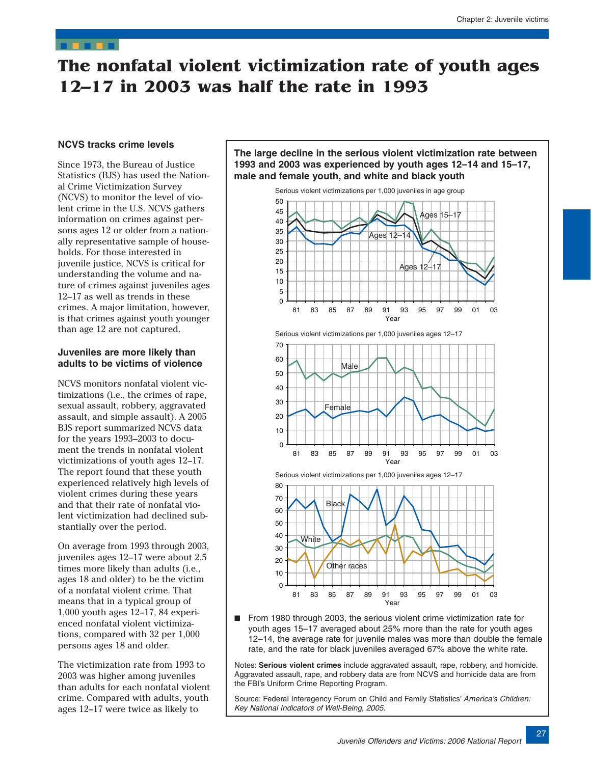# <span id="page-9-0"></span>**The nonfatal violent victimization rate of youth ages 12–17 in 2003 was half the rate in 1993**

### **NCVS tracks crime levels**

Since 1973, the Bureau of Justice Statistics (BJS) has used the National Crime Victimization Survey (NCVS) to monitor the level of violent crime in the U.S. NCVS gathers information on crimes against persons ages 12 or older from a nationally representative sample of households. For those interested in juvenile justice, NCVS is critical for understanding the volume and nature of crimes against juveniles ages 12–17 as well as trends in these crimes. A major limitation, however, is that crimes against youth younger than age 12 are not captured.

### **Juveniles are more likely than adults to be victims of violence**

NCVS monitors nonfatal violent victimizations (i.e., the crimes of rape, sexual assault, robbery, aggravated assault, and simple assault). A 2005 BJS report summarized NCVS data for the years 1993–2003 to document the trends in nonfatal violent victimizations of youth ages 12–17. The report found that these youth experienced relatively high levels of violent crimes during these years and that their rate of nonfatal violent victimization had declined substantially over the period.

On average from 1993 through 2003, juveniles ages 12–17 were about 2.5 times more likely than adults (i.e., ages 18 and older) to be the victim of a nonfatal violent crime. That means that in a typical group of 1,000 youth ages 12–17, 84 experienced nonfatal violent victimizations, compared with 32 per 1,000 persons ages 18 and older.

The victimization rate from 1993 to 2003 was higher among juveniles than adults for each nonfatal violent crime. Compared with adults, youth ages 12–17 were twice as likely to







Serious violent victimizations per 1,000 juveniles ages 12–17





From 1980 through 2003, the serious violent crime victimization rate for youth ages 15–17 averaged about 25% more than the rate for youth ages 12–14, the average rate for juvenile males was more than double the female rate, and the rate for black juveniles averaged 67% above the white rate.

Notes: **Serious violent crimes** include aggravated assault, rape, robbery, and homicide. Aggravated assault, rape, and robbery data are from NCVS and homicide data are from the FBI's Uniform Crime Reporting Program.

Source: Federal Interagency Forum on Child and Family Statistics' America's Children: Key National Indicators of Well-Being, 2005.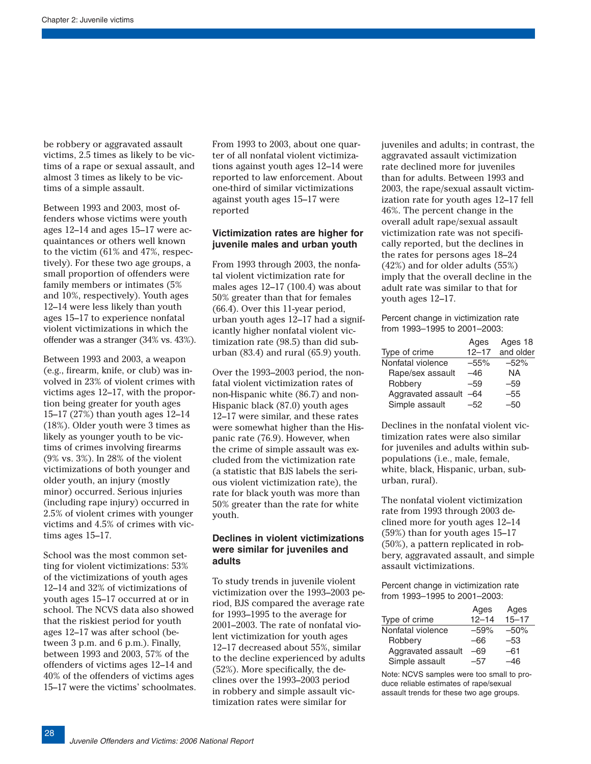be robbery or aggravated assault victims, 2.5 times as likely to be victims of a rape or sexual assault, and almost 3 times as likely to be victims of a simple assault.

Between 1993 and 2003, most offenders whose victims were youth ages 12–14 and ages 15–17 were acquaintances or others well known to the victim (61% and 47%, respectively). For these two age groups, a small proportion of offenders were family members or intimates (5% and 10%, respectively). Youth ages 12–14 were less likely than youth ages 15–17 to experience nonfatal violent victimizations in which the offender was a stranger (34% vs. 43%).

Between 1993 and 2003, a weapon (e.g., firearm, knife, or club) was involved in 23% of violent crimes with victims ages 12–17, with the proportion being greater for youth ages 15–17 (27%) than youth ages 12–14 (18%). Older youth were 3 times as likely as younger youth to be victims of crimes involving firearms (9% vs. 3%). In 28% of the violent victimizations of both younger and older youth, an injury (mostly minor) occurred. Serious injuries (including rape injury) occurred in 2.5% of violent crimes with younger victims and 4.5% of crimes with victims ages 15–17.

School was the most common setting for violent victimizations: 53% of the victimizations of youth ages 12–14 and 32% of victimizations of youth ages 15–17 occurred at or in school. The NCVS data also showed that the riskiest period for youth ages 12–17 was after school (between 3 p.m. and 6 p.m.). Finally, between 1993 and 2003, 57% of the offenders of victims ages 12–14 and 40% of the offenders of victims ages 15–17 were the victims' schoolmates. From 1993 to 2003, about one quarter of all nonfatal violent victimizations against youth ages 12–14 were reported to law enforcement. About one-third of similar victimizations against youth ages 15–17 were reported

### **Victimization rates are higher for juvenile males and urban youth**

From 1993 through 2003, the nonfatal violent victimization rate for males ages 12–17 (100.4) was about 50% greater than that for females (66.4). Over this 11-year period, urban youth ages 12–17 had a significantly higher nonfatal violent victimization rate (98.5) than did suburban (83.4) and rural (65.9) youth.

Over the 1993–2003 period, the nonfatal violent victimization rates of non-Hispanic white (86.7) and non-Hispanic black (87.0) youth ages 12–17 were similar, and these rates were somewhat higher than the Hispanic rate (76.9). However, when the crime of simple assault was excluded from the victimization rate (a statistic that BJS labels the serious violent victimization rate), the rate for black youth was more than 50% greater than the rate for white youth.

#### **Declines in violent victimizations were similar for juveniles and adults**

To study trends in juvenile violent victimization over the 1993–2003 period, BJS compared the average rate for 1993–1995 to the average for 2001–2003. The rate of nonfatal violent victimization for youth ages 12–17 decreased about 55%, similar to the decline experienced by adults (52%). More specifically, the declines over the 1993–2003 period in robbery and simple assault victimization rates were similar for

juveniles and adults; in contrast, the aggravated assault victimization rate declined more for juveniles than for adults. Between 1993 and 2003, the rape/sexual assault victimization rate for youth ages 12–17 fell 46%. The percent change in the overall adult rape/sexual assault victimization rate was not specifically reported, but the declines in the rates for persons ages 18–24 (42%) and for older adults (55%) imply that the overall decline in the adult rate was similar to that for youth ages 12–17.

Percent change in victimization rate from 1993–1995 to 2001–2003:

|                        | Ages      | Ages 18   |
|------------------------|-----------|-----------|
| Type of crime          | $12 - 17$ | and older |
| Nonfatal violence      | $-55%$    | $-52%$    |
| Rape/sex assault       | -46       | ΝA        |
| Robbery                | $-59$     | $-59$     |
| Aggravated assault -64 |           | $-55$     |
| Simple assault         | -52       | -50       |

Declines in the nonfatal violent victimization rates were also similar for juveniles and adults within subpopulations (i.e., male, female, white, black, Hispanic, urban, suburban, rural).

The nonfatal violent victimization rate from 1993 through 2003 declined more for youth ages 12–14 (59%) than for youth ages 15–17 (50%), a pattern replicated in robbery, aggravated assault, and simple assault victimizations.

Percent change in victimization rate from 1993–1995 to 2001–2003:

|                    | Ages      | Ages      |
|--------------------|-----------|-----------|
| Type of crime      | $12 - 14$ | $15 - 17$ |
| Nonfatal violence  | $-59%$    | $-50%$    |
| Robbery            | -66       | -53       |
| Aggravated assault | -69       | $-61$     |
| Simple assault     | -57       | -46       |

Note: NCVS samples were too small to produce reliable estimates of rape/sexual assault trends for these two age groups.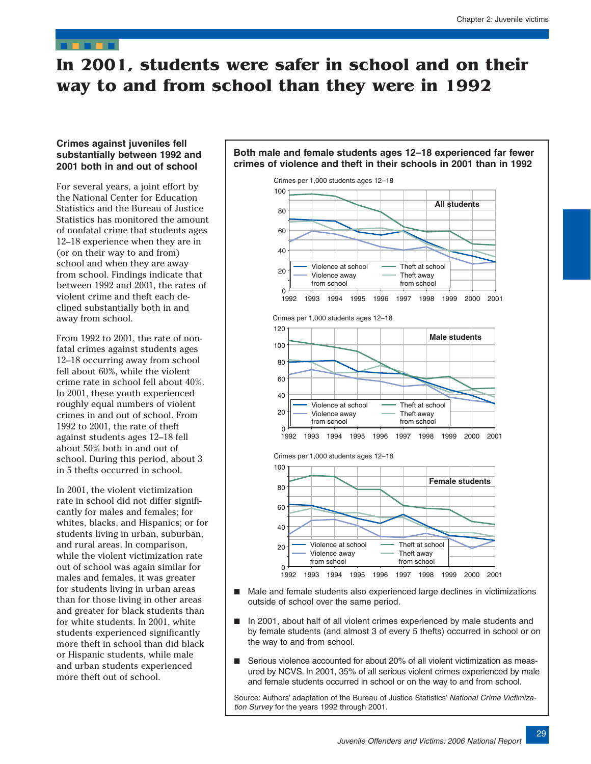# <span id="page-11-0"></span>**In 2001, students were safer in school and on their way to and from school than they were in 1992**

# **Crimes against juveniles fell substantially between 1992 and 2001 both in and out of school**

For several years, a joint effort by the National Center for Education Statistics and the Bureau of Justice Statistics has monitored the amount of nonfatal crime that students ages 12–18 experience when they are in (or on their way to and from) school and when they are away from school. Findings indicate that between 1992 and 2001, the rates of violent crime and theft each declined substantially both in and away from school.

From 1992 to 2001, the rate of nonfatal crimes against students ages 12–18 occurring away from school fell about 60%, while the violent crime rate in school fell about 40%. In 2001, these youth experienced roughly equal numbers of violent crimes in and out of school. From 1992 to 2001, the rate of theft against students ages 12–18 fell about 50% both in and out of school. During this period, about 3 in 5 thefts occurred in school.

In 2001, the violent victimization rate in school did not differ significantly for males and females; for whites, blacks, and Hispanics; or for students living in urban, suburban, and rural areas. In comparison, while the violent victimization rate out of school was again similar for males and females, it was greater for students living in urban areas than for those living in other areas and greater for black students than for white students. In 2001, white students experienced significantly more theft in school than did black or Hispanic students, while male and urban students experienced more theft out of school.



**Both male and female students ages 12–18 experienced far fewer** 

- Male and female students also experienced large declines in victimizations outside of school over the same period.
- In 2001, about half of all violent crimes experienced by male students and by female students (and almost 3 of every 5 thefts) occurred in school or on the way to and from school.
- Serious violence accounted for about 20% of all violent victimization as measured by NCVS. In 2001, 35% of all serious violent crimes experienced by male and female students occurred in school or on the way to and from school.

Source: Authors' adaptation of the Bureau of Justice Statistics' National Crime Victimization Survey for the years 1992 through 2001.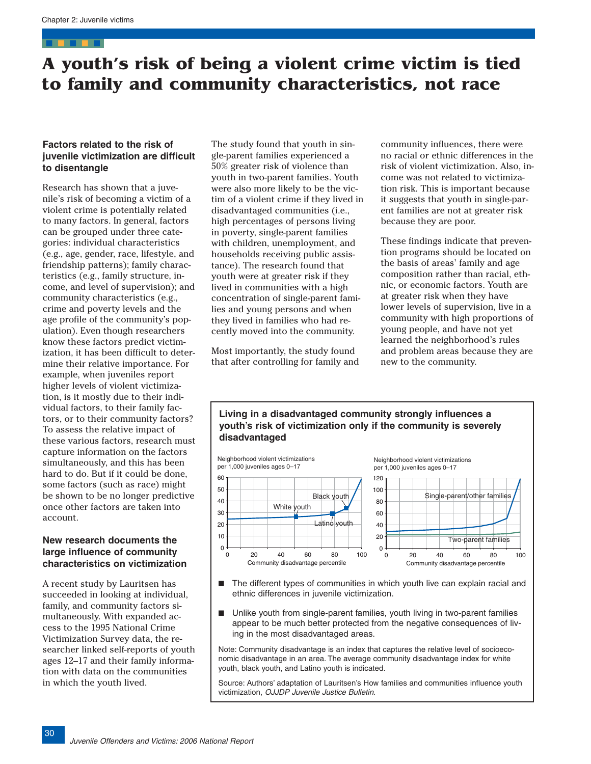# <span id="page-12-0"></span>**A youth's risk of being a violent crime victim is tied to family and community characteristics, not race**

### **Factors related to the risk of juvenile victimization are difficult to disentangle**

Research has shown that a juvenile's risk of becoming a victim of a violent crime is potentially related to many factors. In general, factors can be grouped under three categories: individual characteristics (e.g., age, gender, race, lifestyle, and friendship patterns); family characteristics (e.g., family structure, income, and level of supervision); and community characteristics (e.g., crime and poverty levels and the age profile of the community's population). Even though researchers know these factors predict victimization, it has been difficult to determine their relative importance. For example, when juveniles report higher levels of violent victimization, is it mostly due to their individual factors, to their family factors, or to their community factors? To assess the relative impact of these various factors, research must capture information on the factors simultaneously, and this has been hard to do. But if it could be done, some factors (such as race) might be shown to be no longer predictive once other factors are taken into account.

# **New research documents the large influence of community characteristics on victimization**

A recent study by Lauritsen has succeeded in looking at individual, family, and community factors simultaneously. With expanded access to the 1995 National Crime Victimization Survey data, the researcher linked self-reports of youth ages 12–17 and their family information with data on the communities in which the youth lived.

The study found that youth in single-parent families experienced a 50% greater risk of violence than youth in two-parent families. Youth were also more likely to be the victim of a violent crime if they lived in disadvantaged communities (i.e., high percentages of persons living in poverty, single-parent families with children, unemployment, and households receiving public assistance). The research found that youth were at greater risk if they lived in communities with a high concentration of single-parent families and young persons and when they lived in families who had recently moved into the community.

Most importantly, the study found that after controlling for family and community influences, there were no racial or ethnic differences in the risk of violent victimization. Also, income was not related to victimization risk. This is important because it suggests that youth in single-parent families are not at greater risk because they are poor.

These findings indicate that prevention programs should be located on the basis of areas' family and age composition rather than racial, ethnic, or economic factors. Youth are at greater risk when they have lower levels of supervision, live in a community with high proportions of young people, and have not yet learned the neighborhood's rules and problem areas because they are new to the community.



- The different types of communities in which youth live can explain racial and ethnic differences in juvenile victimization.
- Unlike youth from single-parent families, youth living in two-parent families appear to be much better protected from the negative consequences of living in the most disadvantaged areas.

Note: Community disadvantage is an index that captures the relative level of socioeconomic disadvantage in an area. The average community disadvantage index for white youth, black youth, and Latino youth is indicated.

Source: Authors' adaptation of Lauritsen's How families and communities influence youth victimization, OJJDP Juvenile Justice Bulletin.

# **Living in a disadvantaged community strongly influences a youth's risk of victimization only if the community is severely disadvantaged**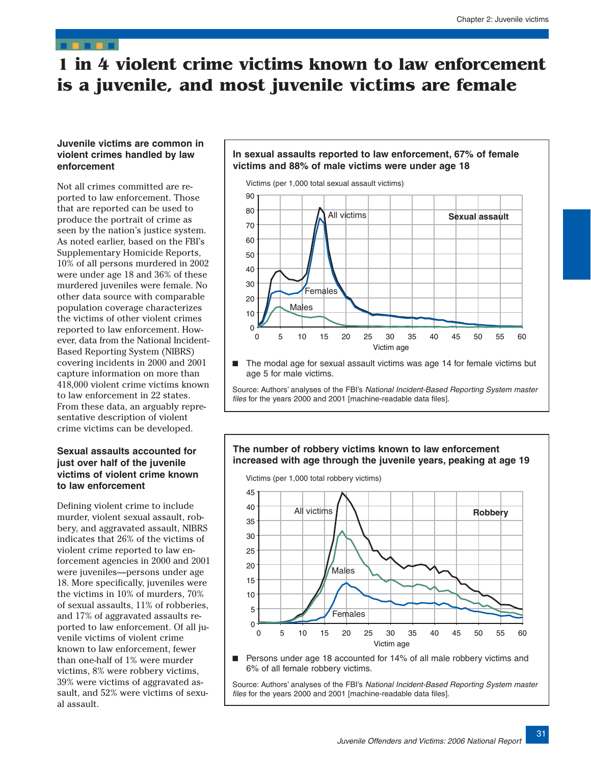# <span id="page-13-0"></span>**1 in 4 violent crime victims known to law enforcement is a juvenile, and most juvenile victims are female**

# **Juvenile victims are common in violent crimes handled by law enforcement**

Not all crimes committed are reported to law enforcement. Those that are reported can be used to produce the portrait of crime as seen by the nation's justice system. As noted earlier, based on the FBI's Supplementary Homicide Reports, 10% of all persons murdered in 2002 were under age 18 and 36% of these murdered juveniles were female. No other data source with comparable population coverage characterizes the victims of other violent crimes reported to law enforcement. However, data from the National Incident-Based Reporting System (NIBRS) covering incidents in 2000 and 2001 capture information on more than 418,000 violent crime victims known to law enforcement in 22 states. From these data, an arguably representative description of violent crime victims can be developed.

# **Sexual assaults accounted for just over half of the juvenile victims of violent crime known to law enforcement**

Defining violent crime to include murder, violent sexual assault, robbery, and aggravated assault, NIBRS indicates that 26% of the victims of violent crime reported to law enforcement agencies in 2000 and 2001 were juveniles—persons under age 18. More specifically, juveniles were the victims in 10% of murders, 70% of sexual assaults, 11% of robberies, and 17% of aggravated assaults reported to law enforcement. Of all juvenile victims of violent crime known to law enforcement, fewer than one-half of 1% were murder victims, 8% were robbery victims, 39% were victims of aggravated assault, and 52% were victims of sexual assault.

# **In sexual assaults reported to law enforcement, 67% of female victims and 88% of male victims were under age 18**



The modal age for sexual assault victims was age 14 for female victims but age 5 for male victims.

Source: Authors' analyses of the FBI's National Incident-Based Reporting System master files for the years 2000 and 2001 [machine-readable data files].

### **The number of robbery victims known to law enforcement increased with age through the juvenile years, peaking at age 19**

Victims (per 1,000 total robbery victims)



■ Persons under age 18 accounted for 14% of all male robbery victims and 6% of all female robbery victims.

Source: Authors' analyses of the FBI's National Incident-Based Reporting System master files for the years 2000 and 2001 [machine-readable data files].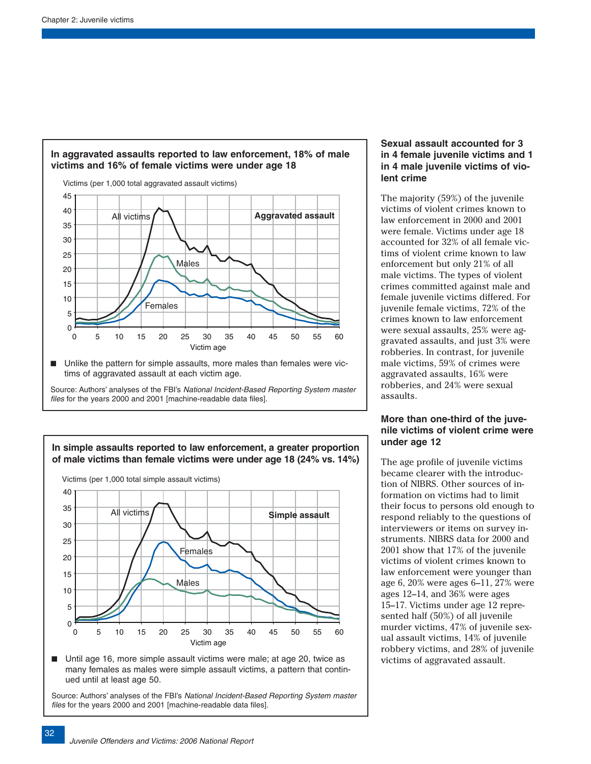

# **In aggravated assaults reported to law enforcement, 18% of male victims and 16% of female victims were under age 18**

■ Unlike the pattern for simple assaults, more males than females were victims of aggravated assault at each victim age.

Source: Authors' analyses of the FBI's National Incident-Based Reporting System master files for the years 2000 and 2001 [machine-readable data files].



Until age 16, more simple assault victims were male; at age 20, twice as many females as males were simple assault victims, a pattern that continued until at least age 50.

Source: Authors' analyses of the FBI's National Incident-Based Reporting System master files for the years 2000 and 2001 [machine-readable data files].

# **Sexual assault accounted for 3 in 4 female juvenile victims and 1 in 4 male juvenile victims of violent crime**

The majority (59%) of the juvenile victims of violent crimes known to law enforcement in 2000 and 2001 were female. Victims under age 18 accounted for 32% of all female victims of violent crime known to law enforcement but only 21% of all male victims. The types of violent crimes committed against male and female juvenile victims differed. For juvenile female victims, 72% of the crimes known to law enforcement were sexual assaults, 25% were aggravated assaults, and just 3% were robberies. In contrast, for juvenile male victims, 59% of crimes were aggravated assaults, 16% were robberies, and 24% were sexual assaults.

# **More than one-third of the juvenile victims of violent crime were under age 12**

The age profile of juvenile victims became clearer with the introduction of NIBRS. Other sources of information on victims had to limit their focus to persons old enough to respond reliably to the questions of interviewers or items on survey instruments. NIBRS data for 2000 and 2001 show that 17% of the juvenile victims of violent crimes known to law enforcement were younger than age 6, 20% were ages 6–11, 27% were ages 12–14, and 36% were ages 15–17. Victims under age 12 represented half (50%) of all juvenile murder victims, 47% of juvenile sexual assault victims, 14% of juvenile robbery victims, and 28% of juvenile victims of aggravated assault.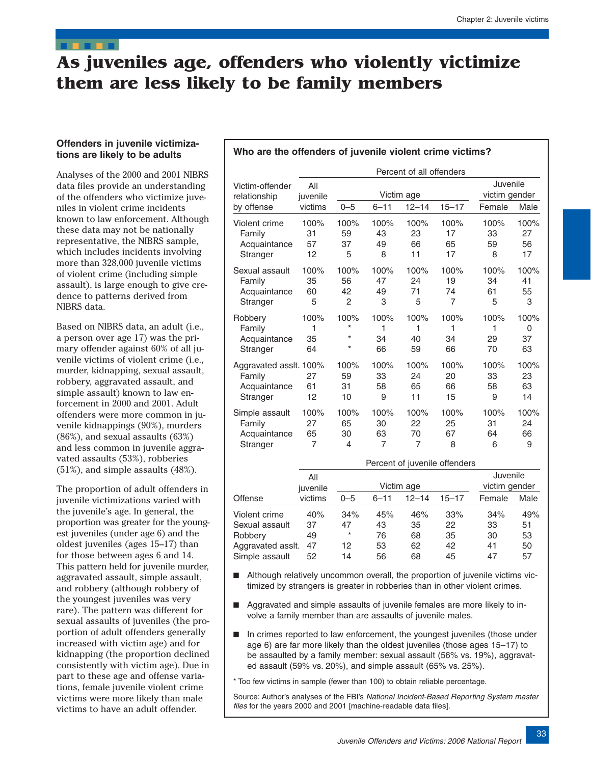# <span id="page-15-0"></span>**As juveniles age, offenders who violently victimize them are less likely to be family members**

# **Offenders in juvenile victimizations are likely to be adults**

Analyses of the 2000 and 2001 NIBRS data files provide an understanding of the offenders who victimize juveniles in violent crime incidents known to law enforcement. Although these data may not be nationally representative, the NIBRS sample, which includes incidents involving more than 328,000 juvenile victims of violent crime (including simple assault), is large enough to give credence to patterns derived from NIBRS data.

Based on NIBRS data, an adult (i.e., a person over age 17) was the primary offender against 60% of all juvenile victims of violent crime (i.e., murder, kidnapping, sexual assault, robbery, aggravated assault, and simple assault) known to law enforcement in 2000 and 2001. Adult offenders were more common in juvenile kidnappings (90%), murders (86%), and sexual assaults (63%) and less common in juvenile aggravated assaults (53%), robberies (51%), and simple assaults (48%).

The proportion of adult offenders in juvenile victimizations varied with the juvenile's age. In general, the proportion was greater for the youngest juveniles (under age 6) and the oldest juveniles (ages 15–17) than for those between ages 6 and 14. This pattern held for juvenile murder, aggravated assault, simple assault, and robbery (although robbery of the youngest juveniles was very rare). The pattern was different for sexual assaults of juveniles (the proportion of adult offenders generally increased with victim age) and for kidnapping (the proportion declined consistently with victim age). Due in part to these age and offense variations, female juvenile violent crime victims were more likely than male victims to have an adult offender.

#### **Who are the offenders of juvenile violent crime victims?**

|                                                              | Percent of all offenders |                                       |                       |                                    |                                                        |                           |                                 |
|--------------------------------------------------------------|--------------------------|---------------------------------------|-----------------------|------------------------------------|--------------------------------------------------------|---------------------------|---------------------------------|
| Victim-offender<br>relationship                              | All<br>juvenile          |                                       |                       | Victim age                         |                                                        | Juvenile<br>victim gender |                                 |
| by offense                                                   | victims                  | $0 - 5$                               | $6 - 11$              | $12 - 14$                          | $15 - 17$                                              | Female                    | Male                            |
| Violent crime<br>Family<br>Acquaintance<br>Stranger          | 100%<br>31<br>57<br>12   | 100%<br>59<br>37<br>5                 | 100%<br>43<br>49<br>8 | 100%<br>23<br>66<br>11             | 100%<br>17<br>65<br>17                                 | 100%<br>33<br>59<br>8     | 100%<br>27<br>56<br>17          |
| Sexual assault<br>Family<br>Acquaintance<br>Stranger         | 100%<br>35<br>60<br>5    | 100%<br>56<br>42<br>$\overline{2}$    | 100%<br>47<br>49<br>3 | 100%<br>24<br>71<br>5              | 100%<br>19<br>74<br>$\overline{7}$                     | 100%<br>34<br>61<br>5     | 100%<br>41<br>55<br>3           |
| Robbery<br>Family<br>Acquaintance<br>Stranger                | 100%<br>1<br>35<br>64    | 100%<br>$\star$<br>$\star$<br>$\star$ | 100%<br>1<br>34<br>66 | 100%<br>1<br>40<br>59              | 100%<br>1<br>34<br>66                                  | 100%<br>1<br>29<br>70     | 100%<br>$\mathbf 0$<br>37<br>63 |
| Aggravated assit. 100%<br>Family<br>Acquaintance<br>Stranger | 27<br>61<br>12           | 100%<br>59<br>31<br>10                | 100%<br>33<br>58<br>9 | 100%<br>24<br>65<br>11             | 100%<br>20<br>66<br>15                                 | 100%<br>33<br>58<br>9     | 100%<br>23<br>63<br>14          |
| Simple assault<br>Family<br>Acquaintance<br>Stranger         | 100%<br>27<br>65<br>7    | 100%<br>65<br>30<br>4                 | 100%<br>30<br>63<br>7 | 100%<br>22<br>70<br>$\overline{7}$ | 100%<br>25<br>67<br>8<br>Percent of juvenile offenders | 100%<br>31<br>64<br>6     | 100%<br>24<br>66<br>9           |
|                                                              | All                      |                                       |                       |                                    |                                                        | Juvenile                  |                                 |

|                   | All      |         |            |           |           | Juvenile |               |
|-------------------|----------|---------|------------|-----------|-----------|----------|---------------|
|                   | juvenile |         | Victim age |           |           |          | victim gender |
| Offense           | victims  | $0 - 5$ | $6 - 11$   | $12 - 14$ | $15 - 17$ | Female   | Male          |
| Violent crime     | 40%      | 34%     | 45%        | 46%       | 33%       | 34%      | 49%           |
| Sexual assault    | 37       | 47      | 43         | 35        | 22        | 33       | 51            |
| Robbery           | 49       | $\star$ | 76         | 68        | 35        | 30       | 53            |
| Aggravated assit. | 47       | 12      | 53         | 62        | 42        | 41       | 50            |
| Simple assault    | 52       | 14      | 56         | 68        | 45        | 47       | 57            |

- Although relatively uncommon overall, the proportion of juvenile victims victimized by strangers is greater in robberies than in other violent crimes.
- Aggravated and simple assaults of juvenile females are more likely to involve a family member than are assaults of juvenile males.
- In crimes reported to law enforcement, the youngest juveniles (those under age 6) are far more likely than the oldest juveniles (those ages 15–17) to be assaulted by a family member: sexual assault (56% vs. 19%), aggravated assault (59% vs. 20%), and simple assault (65% vs. 25%).
- \* Too few victims in sample (fewer than 100) to obtain reliable percentage.

Source: Author's analyses of the FBI's National Incident-Based Reporting System master files for the years 2000 and 2001 [machine-readable data files].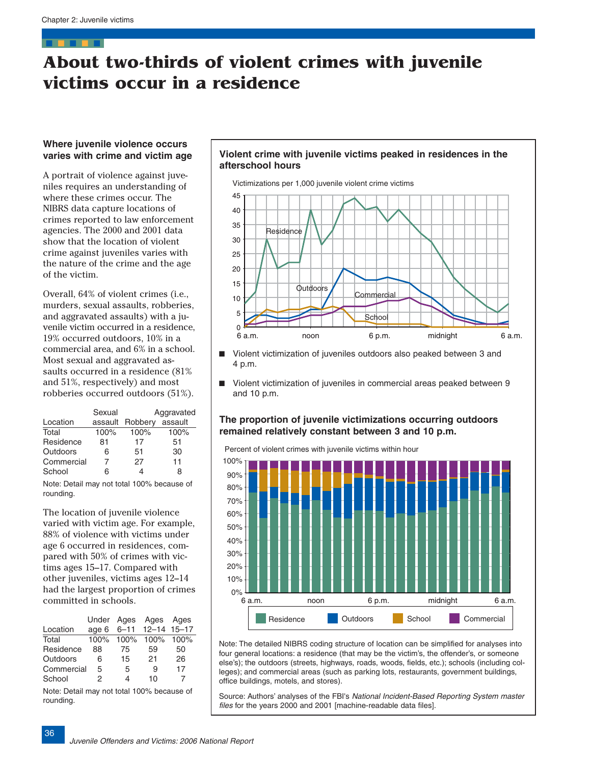# <span id="page-18-0"></span>**About two-thirds of violent crimes with juvenile victims occur in a residence**

### **Where juvenile violence occurs varies with crime and victim age**

A portrait of violence against juveniles requires an understanding of where these crimes occur. The NIBRS data capture locations of crimes reported to law enforcement agencies. The 2000 and 2001 data show that the location of violent crime against juveniles varies with the nature of the crime and the age of the victim.

Overall, 64% of violent crimes (i.e., murders, sexual assaults, robberies, and aggravated assaults) with a juvenile victim occurred in a residence, 19% occurred outdoors, 10% in a commercial area, and 6% in a school. Most sexual and aggravated assaults occurred in a residence (81% and 51%, respectively) and most robberies occurred outdoors (51%).

|            | Sexual  | Aggravated |         |  |
|------------|---------|------------|---------|--|
| Location   | assault | Robbery    | assault |  |
| Total      | 100%    | 100%       | 100%    |  |
| Residence  | 81      | 17         | 51      |  |
| Outdoors   | 6       | 51         | 30      |  |
| Commercial |         | 27         | 11      |  |
| School     | 6       |            | 8       |  |

Note: Detail may not total 100% because of rounding.

The location of juvenile violence varied with victim age. For example, 88% of violence with victims under age 6 occurred in residences, compared with 50% of crimes with victims ages 15–17. Compared with other juveniles, victims ages 12–14 had the largest proportion of crimes committed in schools.

|            |      |           | Under Ages Ages Ages   |      |
|------------|------|-----------|------------------------|------|
| Location   |      |           | age 6 6-11 12-14 15-17 |      |
| Total      | 100% | 100% 100% |                        | 100% |
| Residence  | 88   | 75        | 59                     | 50   |
| Outdoors   | 6    | 15        | 21                     | 26   |
| Commercial | 5    | 5         | 9                      | 17   |
| School     | 2    | 4         | 10                     |      |

Note: Detail may not total 100% because of rounding.

# **Violent crime with juvenile victims peaked in residences in the afterschool hours**



- Violent victimization of juveniles outdoors also peaked between 3 and 4 p.m.
- Violent victimization of juveniles in commercial areas peaked between 9 and 10 p.m.

# **The proportion of juvenile victimizations occurring outdoors remained relatively constant between 3 and 10 p.m.**

Percent of violent crimes with juvenile victims within hour



Note: The detailed NIBRS coding structure of location can be simplified for analyses into four general locations: a residence (that may be the victim's, the offender's, or someone else's); the outdoors (streets, highways, roads, woods, fields, etc.); schools (including colleges); and commercial areas (such as parking lots, restaurants, government buildings, office buildings, motels, and stores).

Source: Authors' analyses of the FBI's National Incident-Based Reporting System master files for the years 2000 and 2001 [machine-readable data files].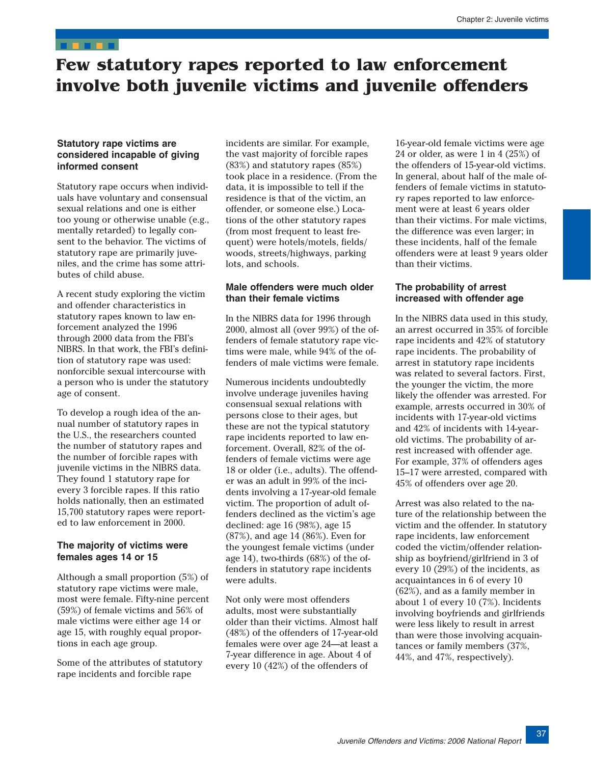# <span id="page-19-0"></span>**Few statutory rapes reported to law enforcement involve both juvenile victims and juvenile offenders**

### **Statutory rape victims are considered incapable of giving informed consent**

Statutory rape occurs when individuals have voluntary and consensual sexual relations and one is either too young or otherwise unable (e.g., mentally retarded) to legally consent to the behavior. The victims of statutory rape are primarily juveniles, and the crime has some attributes of child abuse.

A recent study exploring the victim and offender characteristics in statutory rapes known to law enforcement analyzed the 1996 through 2000 data from the FBI's NIBRS. In that work, the FBI's definition of statutory rape was used: nonforcible sexual intercourse with a person who is under the statutory age of consent.

To develop a rough idea of the annual number of statutory rapes in the U.S., the researchers counted the number of statutory rapes and the number of forcible rapes with juvenile victims in the NIBRS data. They found 1 statutory rape for every 3 forcible rapes. If this ratio holds nationally, then an estimated 15,700 statutory rapes were reported to law enforcement in 2000.

# **The majority of victims were females ages 14 or 15**

Although a small proportion (5%) of statutory rape victims were male, most were female. Fifty-nine percent (59%) of female victims and 56% of male victims were either age 14 or age 15, with roughly equal proportions in each age group.

Some of the attributes of statutory rape incidents and forcible rape

incidents are similar. For example, the vast majority of forcible rapes (83%) and statutory rapes (85%) took place in a residence. (From the data, it is impossible to tell if the residence is that of the victim, an offender, or someone else.) Locations of the other statutory rapes (from most frequent to least frequent) were hotels/motels, fields/ woods, streets/highways, parking lots, and schools.

### **Male offenders were much older than their female victims**

In the NIBRS data for 1996 through 2000, almost all (over 99%) of the offenders of female statutory rape victims were male, while 94% of the offenders of male victims were female.

Numerous incidents undoubtedly involve underage juveniles having consensual sexual relations with persons close to their ages, but these are not the typical statutory rape incidents reported to law enforcement. Overall, 82% of the offenders of female victims were age 18 or older (i.e., adults). The offender was an adult in 99% of the incidents involving a 17-year-old female victim. The proportion of adult offenders declined as the victim's age declined: age 16 (98%), age 15 (87%), and age 14 (86%). Even for the youngest female victims (under age 14), two-thirds (68%) of the offenders in statutory rape incidents were adults.

Not only were most offenders adults, most were substantially older than their victims. Almost half (48%) of the offenders of 17-year-old females were over age 24—at least a 7-year difference in age. About 4 of every 10 (42%) of the offenders of

16-year-old female victims were age 24 or older, as were  $1$  in  $4$  (25%) of the offenders of 15-year-old victims. In general, about half of the male offenders of female victims in statutory rapes reported to law enforcement were at least 6 years older than their victims. For male victims, the difference was even larger; in these incidents, half of the female offenders were at least 9 years older than their victims.

### **The probability of arrest increased with offender age**

In the NIBRS data used in this study, an arrest occurred in 35% of forcible rape incidents and 42% of statutory rape incidents. The probability of arrest in statutory rape incidents was related to several factors. First, the younger the victim, the more likely the offender was arrested. For example, arrests occurred in 30% of incidents with 17-year-old victims and 42% of incidents with 14-yearold victims. The probability of arrest increased with offender age. For example, 37% of offenders ages 15–17 were arrested, compared with 45% of offenders over age 20.

Arrest was also related to the nature of the relationship between the victim and the offender. In statutory rape incidents, law enforcement coded the victim/offender relationship as boyfriend/girlfriend in 3 of every 10 (29%) of the incidents, as acquaintances in 6 of every 10 (62%), and as a family member in about 1 of every 10 (7%). Incidents involving boyfriends and girlfriends were less likely to result in arrest than were those involving acquaintances or family members (37%, 44%, and 47%, respectively).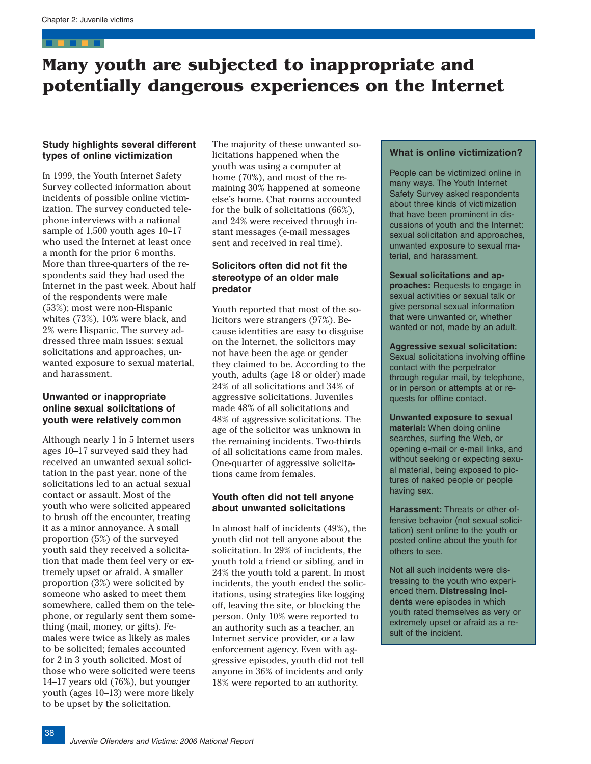# <span id="page-20-0"></span>**Many youth are subjected to inappropriate and potentially dangerous experiences on the Internet**

### **Study highlights several different types of online victimization**

In 1999, the Youth Internet Safety Survey collected information about incidents of possible online victimization. The survey conducted telephone interviews with a national sample of 1,500 youth ages 10–17 who used the Internet at least once a month for the prior 6 months. More than three-quarters of the respondents said they had used the Internet in the past week. About half of the respondents were male (53%); most were non-Hispanic whites (73%), 10% were black, and 2% were Hispanic. The survey addressed three main issues: sexual solicitations and approaches, unwanted exposure to sexual material, and harassment.

# **Unwanted or inappropriate online sexual solicitations of youth were relatively common**

Although nearly 1 in 5 Internet users ages 10–17 surveyed said they had received an unwanted sexual solicitation in the past year, none of the solicitations led to an actual sexual contact or assault. Most of the youth who were solicited appeared to brush off the encounter, treating it as a minor annoyance. A small proportion (5%) of the surveyed youth said they received a solicitation that made them feel very or extremely upset or afraid. A smaller proportion (3%) were solicited by someone who asked to meet them somewhere, called them on the telephone, or regularly sent them something (mail, money, or gifts). Females were twice as likely as males to be solicited; females accounted for 2 in 3 youth solicited. Most of those who were solicited were teens 14–17 years old (76%), but younger youth (ages 10–13) were more likely to be upset by the solicitation.

The majority of these unwanted solicitations happened when the youth was using a computer at home (70%), and most of the remaining 30% happened at someone else's home. Chat rooms accounted for the bulk of solicitations (66%), and 24% were received through instant messages (e-mail messages sent and received in real time).

# **Solicitors often did not fit the stereotype of an older male predator**

Youth reported that most of the solicitors were strangers (97%). Because identities are easy to disguise on the Internet, the solicitors may not have been the age or gender they claimed to be. According to the youth, adults (age 18 or older) made 24% of all solicitations and 34% of aggressive solicitations. Juveniles made 48% of all solicitations and 48% of aggressive solicitations. The age of the solicitor was unknown in the remaining incidents. Two-thirds of all solicitations came from males. One-quarter of aggressive solicitations came from females.

# **Youth often did not tell anyone about unwanted solicitations**

In almost half of incidents (49%), the youth did not tell anyone about the solicitation. In 29% of incidents, the youth told a friend or sibling, and in 24% the youth told a parent. In most incidents, the youth ended the solicitations, using strategies like logging off, leaving the site, or blocking the person. Only 10% were reported to an authority such as a teacher, an Internet service provider, or a law enforcement agency. Even with aggressive episodes, youth did not tell anyone in 36% of incidents and only 18% were reported to an authority.

# **What is online victimization?**

People can be victimized online in many ways. The Youth Internet Safety Survey asked respondents about three kinds of victimization that have been prominent in discussions of youth and the Internet: sexual solicitation and approaches, unwanted exposure to sexual material, and harassment.

**Sexual solicitations and approaches:** Requests to engage in sexual activities or sexual talk or give personal sexual information that were unwanted or, whether wanted or not, made by an adult.

**Aggressive sexual solicitation:**  Sexual solicitations involving offline contact with the perpetrator through regular mail, by telephone, or in person or attempts at or requests for offline contact.

**Unwanted exposure to sexual material:** When doing online searches, surfing the Web, or opening e-mail or e-mail links, and without seeking or expecting sexual material, being exposed to pictures of naked people or people having sex.

**Harassment:** Threats or other offensive behavior (not sexual solicitation) sent online to the youth or posted online about the youth for others to see.

Not all such incidents were distressing to the youth who experienced them. **Distressing incidents** were episodes in which youth rated themselves as very or extremely upset or afraid as a result of the incident.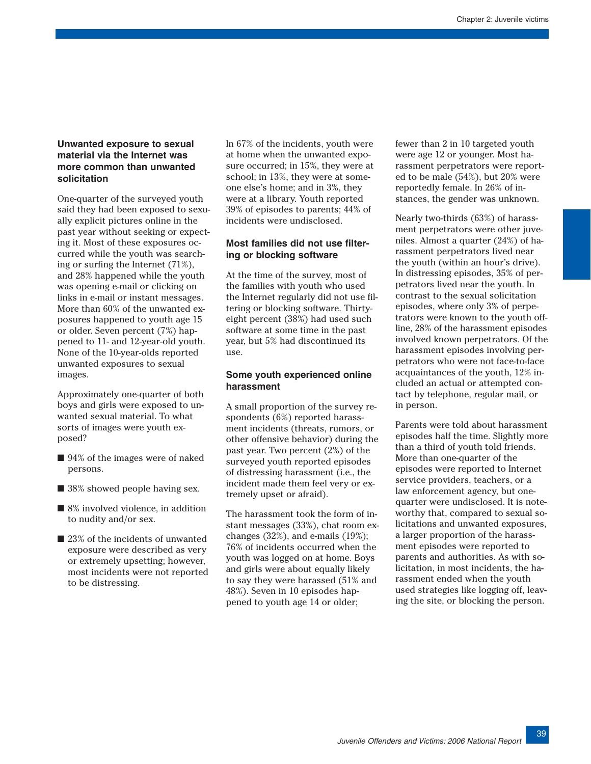# **Unwanted exposure to sexual material via the Internet was more common than unwanted solicitation**

One-quarter of the surveyed youth said they had been exposed to sexually explicit pictures online in the past year without seeking or expecting it. Most of these exposures occurred while the youth was searching or surfing the Internet (71%), and 28% happened while the youth was opening e-mail or clicking on links in e-mail or instant messages. More than 60% of the unwanted exposures happened to youth age 15 or older. Seven percent (7%) happened to 11- and 12-year-old youth. None of the 10-year-olds reported unwanted exposures to sexual images.

Approximately one-quarter of both boys and girls were exposed to unwanted sexual material. To what sorts of images were youth exposed?

- 94% of the images were of naked persons.
- 38% showed people having sex.
- 8% involved violence, in addition to nudity and/or sex.
- 23% of the incidents of unwanted exposure were described as very or extremely upsetting; however, most incidents were not reported to be distressing.

In 67% of the incidents, youth were at home when the unwanted exposure occurred; in 15%, they were at school; in 13%, they were at someone else's home; and in 3%, they were at a library. Youth reported 39% of episodes to parents; 44% of incidents were undisclosed.

# **Most families did not use filtering or blocking software**

At the time of the survey, most of the families with youth who used the Internet regularly did not use filtering or blocking software. Thirtyeight percent (38%) had used such software at some time in the past year, but 5% had discontinued its use.

# **Some youth experienced online harassment**

A small proportion of the survey respondents (6%) reported harassment incidents (threats, rumors, or other offensive behavior) during the past year. Two percent (2%) of the surveyed youth reported episodes of distressing harassment (i.e., the incident made them feel very or extremely upset or afraid).

The harassment took the form of instant messages (33%), chat room exchanges (32%), and e-mails (19%); 76% of incidents occurred when the youth was logged on at home. Boys and girls were about equally likely to say they were harassed (51% and 48%). Seven in 10 episodes happened to youth age 14 or older;

fewer than 2 in 10 targeted youth were age 12 or younger. Most harassment perpetrators were reported to be male (54%), but 20% were reportedly female. In 26% of instances, the gender was unknown.

Nearly two-thirds (63%) of harassment perpetrators were other juveniles. Almost a quarter (24%) of harassment perpetrators lived near the youth (within an hour's drive). In distressing episodes, 35% of perpetrators lived near the youth. In contrast to the sexual solicitation episodes, where only 3% of perpetrators were known to the youth offline, 28% of the harassment episodes involved known perpetrators. Of the harassment episodes involving perpetrators who were not face-to-face acquaintances of the youth, 12% included an actual or attempted contact by telephone, regular mail, or in person.

Parents were told about harassment episodes half the time. Slightly more than a third of youth told friends. More than one-quarter of the episodes were reported to Internet service providers, teachers, or a law enforcement agency, but onequarter were undisclosed. It is noteworthy that, compared to sexual solicitations and unwanted exposures, a larger proportion of the harassment episodes were reported to parents and authorities. As with solicitation, in most incidents, the harassment ended when the youth used strategies like logging off, leaving the site, or blocking the person.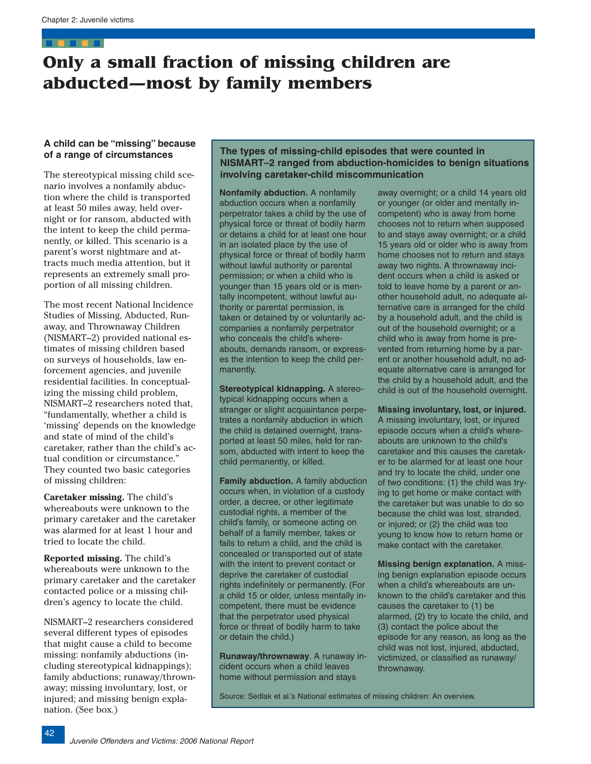# <span id="page-24-0"></span>**Only a small fraction of missing children are abducted—most by family members**

# **A child can be "missing" because of a range of circumstances**

The stereotypical missing child scenario involves a nonfamily abduction where the child is transported at least 50 miles away, held overnight or for ransom, abducted with the intent to keep the child permanently, or killed. This scenario is a parent's worst nightmare and attracts much media attention, but it represents an extremely small proportion of all missing children.

The most recent National Incidence Studies of Missing, Abducted, Runaway, and Thrownaway Children (NISMART–2) provided national estimates of missing children based on surveys of households, law enforcement agencies, and juvenile residential facilities. In conceptualizing the missing child problem, NISMART–2 researchers noted that, "fundamentally, whether a child is 'missing' depends on the knowledge and state of mind of the child's caretaker, rather than the child's actual condition or circumstance." They counted two basic categories of missing children:

**Caretaker missing.** The child's whereabouts were unknown to the primary caretaker and the caretaker was alarmed for at least 1 hour and tried to locate the child.

**Reported missing.** The child's whereabouts were unknown to the primary caretaker and the caretaker contacted police or a missing children's agency to locate the child.

NISMART–2 researchers considered several different types of episodes that might cause a child to become missing: nonfamily abductions (including stereotypical kidnappings); family abductions; runaway/thrownaway; missing involuntary, lost, or injured; and missing benign explanation. (See box.)

# **The types of missing-child episodes that were counted in NISMART–2 ranged from abduction-homicides to benign situations involving caretaker-child miscommunication**

**Nonfamily abduction.** A nonfamily abduction occurs when a nonfamily perpetrator takes a child by the use o f physical force or threat of bodily harm or detains a child for at least one hou r in an isolated place by the use of physical force or threat of bodily harm without lawful authority or parental permission; or when a child who is younger than 15 years old or is mentally incompetent, without lawful authority or parental permission, is taken or detained by or voluntarily accompanies a nonfamily perpetrator who conceals the child's whereabouts, demands ransom, or express es the intention to keep the child permanently.

**Stereotypical kidnapping.** A stereotypical kidnapping occurs when a stranger or slight acquaintance perpe trates a nonfamily abduction in which the child is detained overnight, transported at least 50 miles, held for ransom, abducted with intent to keep the child permanently, or killed.

**Family abduction.** A family abductio n occurs when, in violation of a custody order, a decree, or other legitimate custodial rights, a member of the child's family, or someone acting on behalf of a family member, takes or fails to return a child, and the child is concealed or transported out of state with the intent to prevent contact or deprive the caretaker of custodial rights indefinitely or permanently. (For a child 15 or older, unless mentally in competent, there must be evidence that the perpetrator used physical force or threat of bodily harm to take or detain the child.)

**Runaway/thrownaway**. A runaway in cident occurs when a child leaves home without permission and stays

away overnight; or a child 14 years old or younger (or older and mentally incompetent) who is away from home chooses not to return when supposed to and stays away overnight; or a child 15 years old or older who is away from home chooses not to return and stays away two nights. A thrownaway incident occurs when a child is asked or told to leave home by a parent or another household adult, no adequate alternative care is arranged for the child by a household adult, and the child is out of the household overnight; or a child who is away from home is prevented from returning home by a parent or another household adult, no adequate alternative care is arranged for the child by a household adult, and the child is out of the household overnight.

**Missing involuntary, lost, or injured.**  A missing involuntary, lost, or injured episode occurs when a child's whereabouts are unknown to the child's caretaker and this causes the caretaker to be alarmed for at least one hour and try to locate the child, under one of two conditions: (1) the child was trying to get home or make contact with the caretaker but was unable to do so because the child was lost, stranded, or injured; or (2) the child was too young to know how to return home or make contact with the caretaker.

**Missing benign explanation.** A missing benign explanation episode occurs when a child's whereabouts are unknown to the child's caretaker and this causes the caretaker to (1) be alarmed, (2) try to locate the child, and (3) contact the police about the episode for any reason, as long as the child was not lost, injured, abducted, victimized, or classified as runaway/ thrownaway.

Source: Sedlak et al.'s National estimates of missing children: An overview.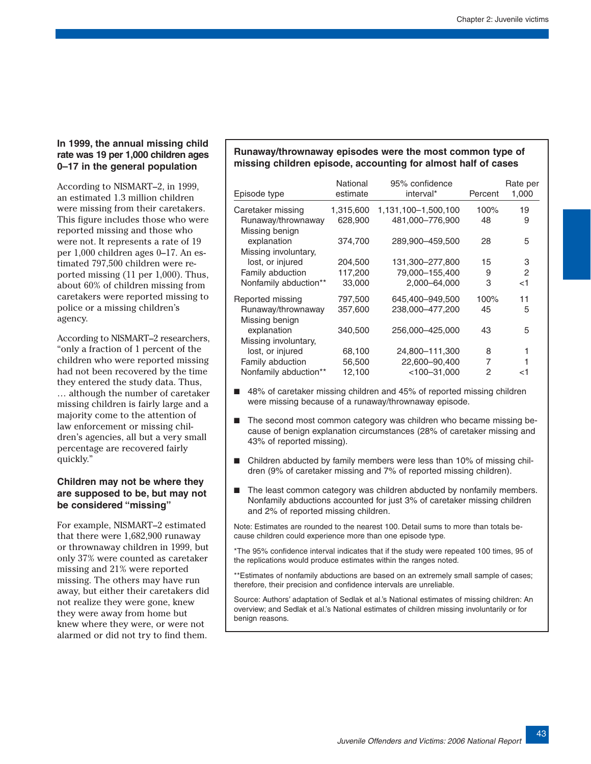# **In 1999, the annual missing child rate was 19 per 1,000 children ages 0–17 in the general population**

According to NISMART–2, in 1999, an estimated 1.3 million children were missing from their caretakers. This figure includes those who were reported missing and those who were not. It represents a rate of 19 per 1,000 children ages 0–17. An estimated 797,500 children were reported missing (11 per 1,000). Thus, about 60% of children missing from caretakers were reported missing to police or a missing children's agency.

According to NISMART–2 researchers, "only a fraction of 1 percent of the children who were reported missing had not been recovered by the time they entered the study data. Thus, … although the number of caretaker missing children is fairly large and a majority come to the attention of law enforcement or missing children's agencies, all but a very small percentage are recovered fairly quickly."

### **Children may not be where they are supposed to be, but may not be considered "missing"**

For example, NISMART–2 estimated that there were 1,682,900 runaway or thrownaway children in 1999, but only 37% were counted as caretaker missing and 21% were reported missing. The others may have run away, but either their caretakers did not realize they were gone, knew they were away from home but knew where they were, or were not alarmed or did not try to find them.

# **Runaway/thrownaway episodes were the most common type of missing children episode, accounting for almost half of cases**

| Episode type          | National<br>estimate | 95% confidence<br>interval* | Percent | Rate per<br>1,000 |
|-----------------------|----------------------|-----------------------------|---------|-------------------|
| Caretaker missing     | 1,315,600            | 1,131,100-1,500,100         | 100%    | 19                |
| Runaway/thrownaway    | 628,900              | 481,000-776,900             | 48      | 9                 |
| Missing benign        |                      |                             |         |                   |
| explanation           | 374,700              | 289,900-459,500             | 28      | 5                 |
| Missing involuntary,  |                      |                             |         |                   |
| lost, or injured      | 204,500              | 131,300-277,800             | 15      | 3                 |
| Family abduction      | 117,200              | 79,000-155,400              | 9       | $\overline{c}$    |
| Nonfamily abduction** | 33,000               | 2,000-64,000                | 3       | ا>                |
| Reported missing      | 797,500              | 645,400-949,500             | 100%    | 11                |
| Runaway/thrownaway    | 357,600              | 238,000-477,200             | 45      | 5                 |
| Missing benign        |                      |                             |         |                   |
| explanation           | 340,500              | 256,000-425,000             | 43      | 5                 |
| Missing involuntary,  |                      |                             |         |                   |
| lost, or injured      | 68,100               | 24,800-111,300              | 8       |                   |
| Family abduction      | 56,500               | 22,600-90,400               | 7       |                   |
| Nonfamily abduction** | 12,100               | $< 100 - 31,000$            | 2       | <1                |

- 48% of caretaker missing children and 45% of reported missing children were missing because of a runaway/thrownaway episode.
- The second most common category was children who became missing because of benign explanation circumstances (28% of caretaker missing and 43% of reported missing).
- Children abducted by family members were less than 10% of missing children (9% of caretaker missing and 7% of reported missing children).
- The least common category was children abducted by nonfamily members. Nonfamily abductions accounted for just 3% of caretaker missing children and 2% of reported missing children.

Note: Estimates are rounded to the nearest 100. Detail sums to more than totals because children could experience more than one episode type.

\*The 95% confidence interval indicates that if the study were repeated 100 times, 95 of the replications would produce estimates within the ranges noted.

\*\*Estimates of nonfamily abductions are based on an extremely small sample of cases; therefore, their precision and confidence intervals are unreliable.

Source: Authors' adaptation of Sedlak et al.'s National estimates of missing children: An overview; and Sedlak et al.'s National estimates of children missing involuntarily or for benign reasons.

43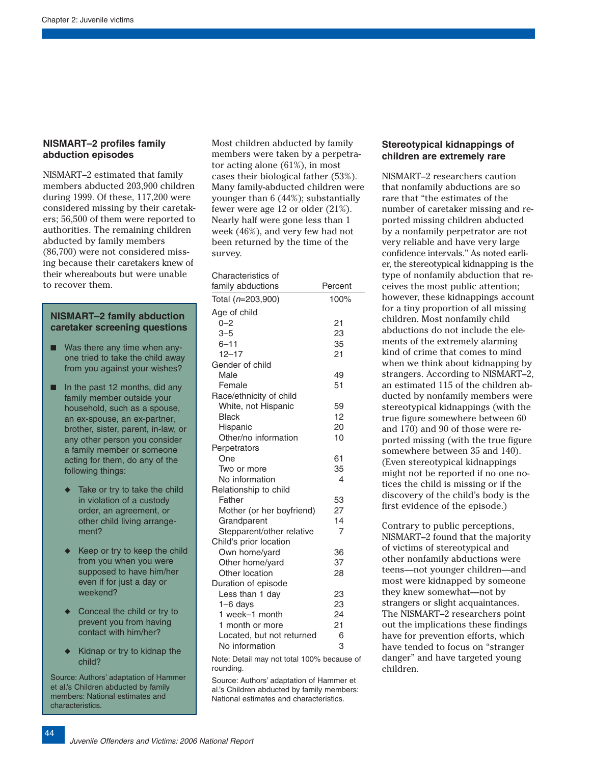# **NISMART–2 profiles family abduction episodes**

NISMART–2 estimated that family members abducted 203,900 children during 1999. Of these, 117,200 were considered missing by their caretakers; 56,500 of them were reported to authorities. The remaining children abducted by family members (86,700) were not considered missing because their caretakers knew of their whereabouts but were unable to recover them.

# **NISMART–2 family abduction caretaker screening questions**

- Was there any time when anyone tried to take the child away from you against your wishes?
- In the past 12 months, did any family member outside your household, such as a spouse, an ex-spouse, an ex-partner, brother, sister, parent, in-law, or any other person you consider a family member or someone acting for them, do any of the following things:
	- ◆ Take or try to take the child in violation of a custody order, an agreement, or other child living arrangement?
	- ◆ Keep or try to keep the child from you when you were supposed to have him/her even if for just a day or weekend?
	- ◆ Conceal the child or try to prevent you from having contact with him/her?
	- ◆ Kidnap or try to kidnap the child?

Source: Authors' adaptation of Hammer et al.'s Children abducted by family members: National estimates and characteristics.

Most children abducted by family members were taken by a perpetrator acting alone (61%), in most cases their biological father (53%). Many family-abducted children were younger than 6 (44%); substantially fewer were age 12 or older (21%). Nearly half were gone less than 1 week (46%), and very few had not been returned by the time of the survey.

# Characteristics of

| family abductions         | Percent |
|---------------------------|---------|
| Total (n=203,900)         | 100%    |
| Age of child              |         |
| $0 - 2$                   | 21      |
| $3 - 5$                   | 23      |
| $6 - 11$                  | 35      |
| $12 - 17$                 | 21      |
| Gender of child           |         |
| Male                      | 49      |
| Female                    | 51      |
| Race/ethnicity of child   |         |
| White, not Hispanic       | 59      |
| <b>Black</b>              | 12      |
| Hispanic                  | 20      |
| Other/no information      | 10      |
| Perpetrators              |         |
| One                       | 61      |
| Two or more               | 35      |
| No information            | 4       |
| Relationship to child     |         |
| Father                    | 53      |
| Mother (or her boyfriend) | 27      |
| Grandparent               | 14      |
| Stepparent/other relative | 7       |
| Child's prior location    |         |
| Own home/yard             | 36      |
| Other home/yard           | 37      |
| Other location            | 28      |
| Duration of episode       |         |
| Less than 1 day           | 23      |
| 1-6 days                  | 23      |
| 1 week-1 month            | 24      |
| 1 month or more           | 21      |
| Located, but not returned | 6       |
| No information            | 3       |

Note: Detail may not total 100% because of rounding.

Source: Authors' adaptation of Hammer et al.'s Children abducted by family members: National estimates and characteristics.

### **Stereotypical kidnappings of children are extremely rare**

NISMART–2 researchers caution that nonfamily abductions are so rare that "the estimates of the number of caretaker missing and reported missing children abducted by a nonfamily perpetrator are not very reliable and have very large confidence intervals." As noted earlier, the stereotypical kidnapping is the type of nonfamily abduction that receives the most public attention; however, these kidnappings account for a tiny proportion of all missing children. Most nonfamily child abductions do not include the elements of the extremely alarming kind of crime that comes to mind when we think about kidnapping by strangers. According to NISMART–2, an estimated 115 of the children abducted by nonfamily members were stereotypical kidnappings (with the true figure somewhere between 60 and 170) and 90 of those were reported missing (with the true figure somewhere between 35 and 140). (Even stereotypical kidnappings might not be reported if no one notices the child is missing or if the discovery of the child's body is the first evidence of the episode.)

Contrary to public perceptions, NISMART–2 found that the majority of victims of stereotypical and other nonfamily abductions were teens—not younger children—and most were kidnapped by someone they knew somewhat—not by strangers or slight acquaintances. The NISMART–2 researchers point out the implications these findings have for prevention efforts, which have tended to focus on "stranger danger" and have targeted young children.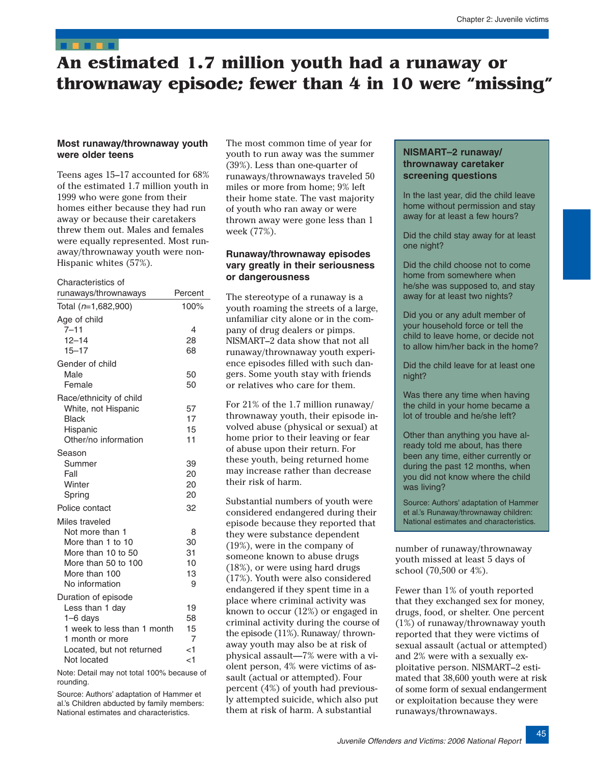# <span id="page-27-0"></span>**An estimated 1.7 million youth had a runaway or thrownaway episode; fewer than 4 in 10 were "missing"**

# **Most runaway/thrownaway youth were older teens**

Teens ages 15–17 accounted for 68% of the estimated 1.7 million youth in 1999 who were gone from their homes either because they had run away or because their caretakers threw them out. Males and females were equally represented. Most runaway/thrownaway youth were non-Hispanic whites (57%).

| Characteristics of                           |          |
|----------------------------------------------|----------|
| runaways/thrownaways                         | Percent  |
| Total (n=1,682,900)                          | 100%     |
| Age of child                                 |          |
| $7 - 11$                                     | 4        |
| $12 - 14$                                    | 28       |
| $15 - 17$                                    | 68       |
| Gender of child                              |          |
| Male                                         | 50       |
| Female                                       | 50       |
| Race/ethnicity of child                      |          |
| White, not Hispanic                          | 57       |
| <b>Black</b>                                 | 17       |
| Hispanic                                     | 15       |
| Other/no information                         | 11       |
| Season                                       |          |
| Summer<br>Fall                               | 39<br>20 |
| Winter                                       | 20       |
| Spring                                       | 20       |
| Police contact                               | 32       |
| Miles traveled                               |          |
| Not more than 1                              | 8        |
| More than 1 to 10                            | 30       |
| More than 10 to 50                           | 31       |
| More than 50 to 100                          | 10       |
| More than 100                                | 13       |
| No information                               | 9        |
| Duration of episode                          |          |
| Less than 1 day                              | 19       |
| $1-6$ days                                   | 58       |
| 1 week to less than 1 month                  | 15<br>7  |
| 1 month or more<br>Located, but not returned | ا>       |
| Not located                                  | $<$ 1    |
|                                              |          |

Note: Detail may not total 100% because of rounding.

Source: Authors' adaptation of Hammer et al.'s Children abducted by family members: National estimates and characteristics.

The most common time of year for youth to run away was the summer (39%). Less than one-quarter of runaways/thrownaways traveled 50 miles or more from home; 9% left their home state. The vast majority of youth who ran away or were thrown away were gone less than 1 week (77%).

# **Runaway/thrownaway episodes vary greatly in their seriousness or dangerousness**

The stereotype of a runaway is a youth roaming the streets of a large, unfamiliar city alone or in the company of drug dealers or pimps. NISMART–2 data show that not all runaway/thrownaway youth experience episodes filled with such dangers. Some youth stay with friends or relatives who care for them.

For 21% of the 1.7 million runaway/ thrownaway youth, their episode involved abuse (physical or sexual) at home prior to their leaving or fear of abuse upon their return. For these youth, being returned home may increase rather than decrease their risk of harm.

Substantial numbers of youth were considered endangered during their episode because they reported that they were substance dependent (19%), were in the company of someone known to abuse drugs (18%), or were using hard drugs (17%). Youth were also considered endangered if they spent time in a place where criminal activity was known to occur (12%) or engaged in criminal activity during the course of the episode (11%). Runaway/ thrownaway youth may also be at risk of physical assault—7% were with a violent person, 4% were victims of assault (actual or attempted). Four percent (4%) of youth had previously attempted suicide, which also put them at risk of harm. A substantial

# **NISMART–2 runaway/ thrownaway caretaker screening questions**

In the last year, did the child leave home without permission and stay away for at least a few hours?

Did the child stay away for at least one night?

Did the child choose not to come home from somewhere when he/she was supposed to, and stay away for at least two nights?

Did you or any adult member of your household force or tell the child to leave home, or decide not to allow him/her back in the home?

Did the child leave for at least one night?

Was there any time when having the child in your home became a lot of trouble and he/she left?

Other than anything you have already told me about, has there been any time, either currently or during the past 12 months, when you did not know where the child was living?

Source: Authors' adaptation of Hammer et al.'s Runaway/thrownaway children: National estimates and characteristics.

number of runaway/thrownaway youth missed at least 5 days of school (70,500 or 4%).

Fewer than 1% of youth reported that they exchanged sex for money, drugs, food, or shelter. One percent (1%) of runaway/thrownaway youth reported that they were victims of sexual assault (actual or attempted) and 2% were with a sexually exploitative person. NISMART–2 estimated that 38,600 youth were at risk of some form of sexual endangerment or exploitation because they were runaways/thrownaways.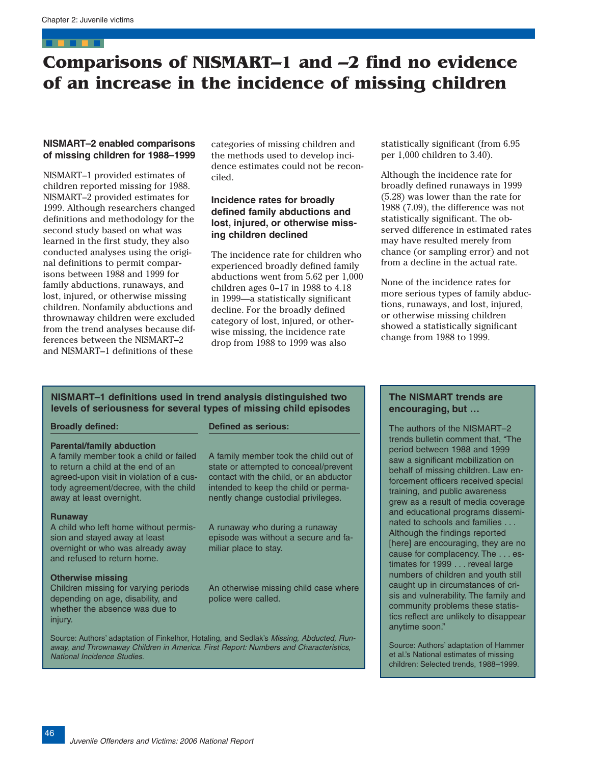# <span id="page-28-0"></span>**Comparisons of NISMART–1 and –2 find no evidence of an increase in the incidence of missing children**

# **NISMART–2 enabled comparisons of missing children for 1988–1999**

NISMART–1 provided estimates of children reported missing for 1988. NISMART–2 provided estimates for 1999. Although researchers changed definitions and methodology for the second study based on what was learned in the first study, they also conducted analyses using the original definitions to permit comparisons between 1988 and 1999 for family abductions, runaways, and lost, injured, or otherwise missing children. Nonfamily abductions and thrownaway children were excluded from the trend analyses because differences between the NISMART–2 and NISMART–1 definitions of these

categories of missing children and the methods used to develop incidence estimates could not be reconciled.

# **Incidence rates for broadly defined family abductions and lost, injured, or otherwise missing children declined**

The incidence rate for children who experienced broadly defined family abductions went from 5.62 per 1,000 children ages 0–17 in 1988 to 4.18 in 1999—a statistically significant decline. For the broadly defined category of lost, injured, or otherwise missing, the incidence rate drop from 1988 to 1999 was also

statistically significant (from 6.95 per 1,000 children to 3.40).

Although the incidence rate for broadly defined runaways in 1999 (5.28) was lower than the rate for 1988 (7.09), the difference was not statistically significant. The observed difference in estimated rates may have resulted merely from chance (or sampling error) and not from a decline in the actual rate.

None of the incidence rates for more serious types of family abductions, runaways, and lost, injured, or otherwise missing children showed a statistically significant change from 1988 to 1999.

# **NISMART–1 definitions used in trend analysis distinguished two levels of seriousness for several types of missing child episodes**

#### **Broadly defined:**

#### **Parental/family abduction**

A family member took a child or failed to return a child at the end of an agreed-upon visit in violation of a custody agreement/decree, with the child away at least overnight.

#### **Runaway**

A child who left home without permission and stayed away at least overnight or who was already away and refused to return home.

#### **Otherwise missing**

Children missing for varying periods depending on age, disability, and whether the absence was due to injury.

#### **Defined as serious:**

A family member took the child out of state or attempted to conceal/prevent contact with the child, or an abductor intended to keep the child or permanently change custodial privileges.

A runaway who during a runaway episode was without a secure and familiar place to stay.

An otherwise missing child case where police were called.

Source: Authors' adaptation of Finkelhor, Hotaling, and Sedlak's Missing, Abducted, Runaway, and Thrownaway Children in America. First Report: Numbers and Characteristics, National Incidence Studies.

# **The NISMART trends are encouraging, but …**

The authors of the NISMART–2 trends bulletin comment that, "The period between 1988 and 1999 saw a significant mobilization on behalf of missing children. Law enforcement officers received special training, and public awareness grew as a result of media coverage and educational programs disseminated to schools and families . . . Although the findings reported [here] are encouraging, they are no cause for complacency. The . . . estimates for 1999 . . . reveal large numbers of children and youth still caught up in circumstances of crisis and vulnerability. The family and community problems these statistics reflect are unlikely to disappear anytime soon."

Source: Authors' adaptation of Hammer et al.'s National estimates of missing children: Selected trends, 1988–1999.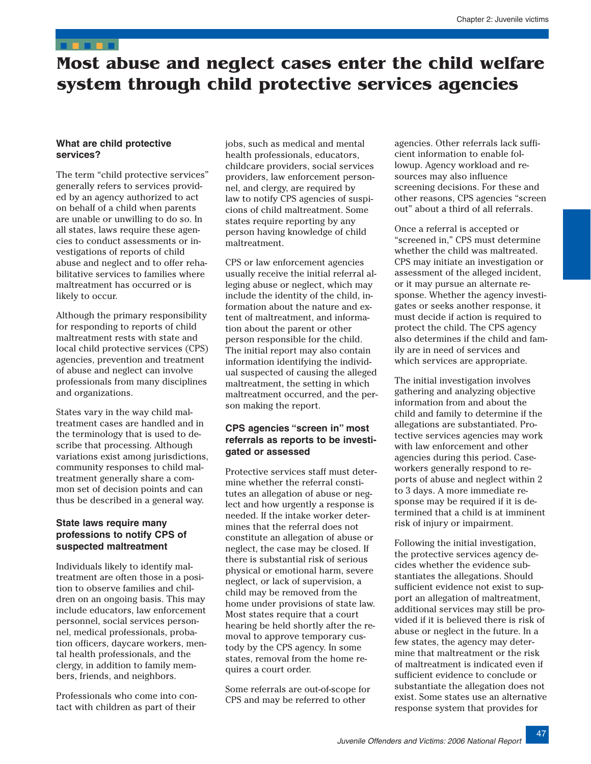# <span id="page-29-0"></span>**Most abuse and neglect cases enter the child welfare system through child protective services agencies**

# **What are child protective services?**

The term "child protective services" generally refers to services provided by an agency authorized to act on behalf of a child when parents are unable or unwilling to do so. In all states, laws require these agencies to conduct assessments or investigations of reports of child abuse and neglect and to offer rehabilitative services to families where maltreatment has occurred or is likely to occur.

Although the primary responsibility for responding to reports of child maltreatment rests with state and local child protective services (CPS) agencies, prevention and treatment of abuse and neglect can involve professionals from many disciplines and organizations.

States vary in the way child maltreatment cases are handled and in the terminology that is used to describe that processing. Although variations exist among jurisdictions, community responses to child maltreatment generally share a common set of decision points and can thus be described in a general way.

# **State laws require many professions to notify CPS of suspected maltreatment**

Individuals likely to identify maltreatment are often those in a position to observe families and children on an ongoing basis. This may include educators, law enforcement personnel, social services personnel, medical professionals, probation officers, daycare workers, mental health professionals, and the clergy, in addition to family members, friends, and neighbors.

Professionals who come into contact with children as part of their

jobs, such as medical and mental health professionals, educators, childcare providers, social services providers, law enforcement personnel, and clergy, are required by law to notify CPS agencies of suspicions of child maltreatment. Some states require reporting by any person having knowledge of child maltreatment.

CPS or law enforcement agencies usually receive the initial referral alleging abuse or neglect, which may include the identity of the child, information about the nature and extent of maltreatment, and information about the parent or other person responsible for the child. The initial report may also contain information identifying the individual suspected of causing the alleged maltreatment, the setting in which maltreatment occurred, and the person making the report.

# **CPS agencies "screen in" most referrals as reports to be investigated or assessed**

Protective services staff must determine whether the referral constitutes an allegation of abuse or neglect and how urgently a response is needed. If the intake worker determines that the referral does not constitute an allegation of abuse or neglect, the case may be closed. If there is substantial risk of serious physical or emotional harm, severe neglect, or lack of supervision, a child may be removed from the home under provisions of state law. Most states require that a court hearing be held shortly after the removal to approve temporary custody by the CPS agency. In some states, removal from the home requires a court order.

Some referrals are out-of-scope for CPS and may be referred to other

agencies. Other referrals lack sufficient information to enable followup. Agency workload and resources may also influence screening decisions. For these and other reasons, CPS agencies "screen out" about a third of all referrals.

Once a referral is accepted or "screened in," CPS must determine whether the child was maltreated. CPS may initiate an investigation or assessment of the alleged incident, or it may pursue an alternate response. Whether the agency investigates or seeks another response, it must decide if action is required to protect the child. The CPS agency also determines if the child and family are in need of services and which services are appropriate.

The initial investigation involves gathering and analyzing objective information from and about the child and family to determine if the allegations are substantiated. Protective services agencies may work with law enforcement and other agencies during this period. Caseworkers generally respond to reports of abuse and neglect within 2 to 3 days. A more immediate response may be required if it is determined that a child is at imminent risk of injury or impairment.

Following the initial investigation, the protective services agency decides whether the evidence substantiates the allegations. Should sufficient evidence not exist to support an allegation of maltreatment, additional services may still be provided if it is believed there is risk of abuse or neglect in the future. In a few states, the agency may determine that maltreatment or the risk of maltreatment is indicated even if sufficient evidence to conclude or substantiate the allegation does not exist. Some states use an alternative response system that provides for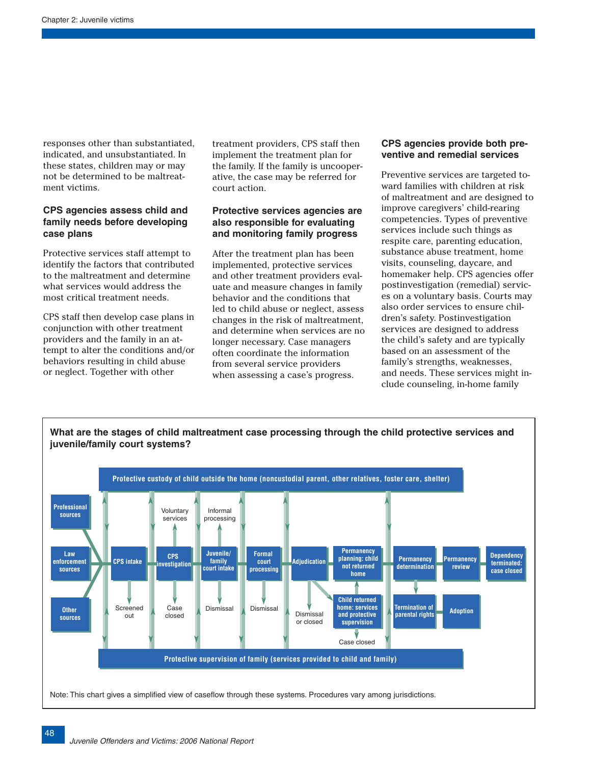responses other than substantiated, indicated, and unsubstantiated. In these states, children may or may not be determined to be maltreatment victims.

# **CPS agencies assess child and family needs before developing case plans**

Protective services staff attempt to identify the factors that contributed to the maltreatment and determine what services would address the most critical treatment needs.

CPS staff then develop case plans in conjunction with other treatment providers and the family in an attempt to alter the conditions and/or behaviors resulting in child abuse or neglect. Together with other

treatment providers, CPS staff then implement the treatment plan for the family. If the family is uncooperative, the case may be referred for court action.

# **Protective services agencies are also responsible for evaluating and monitoring family progress**

After the treatment plan has been implemented, protective services and other treatment providers evaluate and measure changes in family behavior and the conditions that led to child abuse or neglect, assess changes in the risk of maltreatment, and determine when services are no longer necessary. Case managers often coordinate the information from several service providers when assessing a case's progress.

### **CPS agencies provide both preventive and remedial services**

Preventive services are targeted toward families with children at risk of maltreatment and are designed to improve caregivers' child-rearing competencies. Types of preventive services include such things as respite care, parenting education, substance abuse treatment, home visits, counseling, daycare, and homemaker help. CPS agencies offer postinvestigation (remedial) services on a voluntary basis. Courts may also order services to ensure children's safety. Postinvestigation services are designed to address the child's safety and are typically based on an assessment of the family's strengths, weaknesses, and needs. These services might include counseling, in-home family

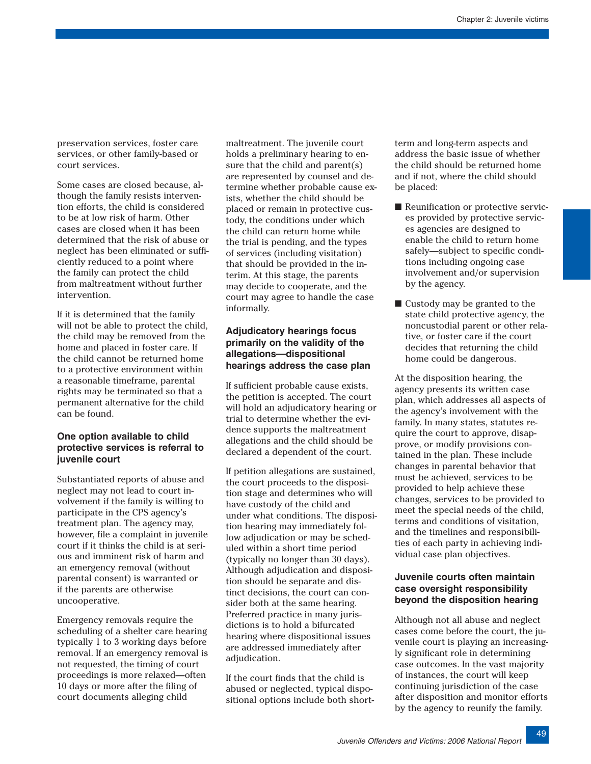preservation services, foster care services, or other family-based or court services.

Some cases are closed because, although the family resists intervention efforts, the child is considered to be at low risk of harm. Other cases are closed when it has been determined that the risk of abuse or neglect has been eliminated or sufficiently reduced to a point where the family can protect the child from maltreatment without further intervention.

If it is determined that the family will not be able to protect the child, the child may be removed from the home and placed in foster care. If the child cannot be returned home to a protective environment within a reasonable timeframe, parental rights may be terminated so that a permanent alternative for the child can be found.

# **One option available to child protective services is referral to juvenile court**

Substantiated reports of abuse and neglect may not lead to court involvement if the family is willing to participate in the CPS agency's treatment plan. The agency may, however, file a complaint in juvenile court if it thinks the child is at serious and imminent risk of harm and an emergency removal (without parental consent) is warranted or if the parents are otherwise uncooperative.

Emergency removals require the scheduling of a shelter care hearing typically 1 to 3 working days before removal. If an emergency removal is not requested, the timing of court proceedings is more relaxed—often 10 days or more after the filing of court documents alleging child

maltreatment. The juvenile court holds a preliminary hearing to ensure that the child and parent(s) are represented by counsel and determine whether probable cause exists, whether the child should be placed or remain in protective custody, the conditions under which the child can return home while the trial is pending, and the types of services (including visitation) that should be provided in the interim. At this stage, the parents may decide to cooperate, and the court may agree to handle the case informally.

# **Adjudicatory hearings focus primarily on the validity of the allegations—dispositional hearings address the case plan**

If sufficient probable cause exists, the petition is accepted. The court will hold an adjudicatory hearing or trial to determine whether the evidence supports the maltreatment allegations and the child should be declared a dependent of the court.

If petition allegations are sustained, the court proceeds to the disposition stage and determines who will have custody of the child and under what conditions. The disposition hearing may immediately follow adjudication or may be scheduled within a short time period (typically no longer than 30 days). Although adjudication and disposition should be separate and distinct decisions, the court can consider both at the same hearing. Preferred practice in many jurisdictions is to hold a bifurcated hearing where dispositional issues are addressed immediately after adjudication.

If the court finds that the child is abused or neglected, typical dispositional options include both shortterm and long-term aspects and address the basic issue of whether the child should be returned home and if not, where the child should be placed:

- Reunification or protective services provided by protective services agencies are designed to enable the child to return home safely—subject to specific conditions including ongoing case involvement and/or supervision by the agency.
- Custody may be granted to the state child protective agency, the noncustodial parent or other relative, or foster care if the court decides that returning the child home could be dangerous.

At the disposition hearing, the agency presents its written case plan, which addresses all aspects of the agency's involvement with the family. In many states, statutes require the court to approve, disapprove, or modify provisions contained in the plan. These include changes in parental behavior that must be achieved, services to be provided to help achieve these changes, services to be provided to meet the special needs of the child, terms and conditions of visitation, and the timelines and responsibilities of each party in achieving individual case plan objectives.

# **Juvenile courts often maintain case oversight responsibility beyond the disposition hearing**

Although not all abuse and neglect cases come before the court, the juvenile court is playing an increasingly significant role in determining case outcomes. In the vast majority of instances, the court will keep continuing jurisdiction of the case after disposition and monitor efforts by the agency to reunify the family.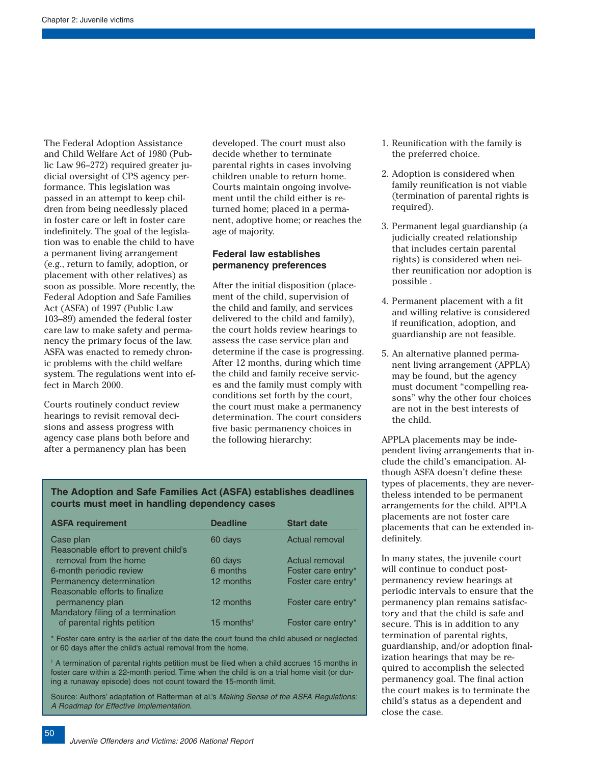The Federal Adoption Assistance and Child Welfare Act of 1980 (Public Law 96–272) required greater judicial oversight of CPS agency performance. This legislation was passed in an attempt to keep children from being needlessly placed in foster care or left in foster care indefinitely. The goal of the legislation was to enable the child to have a permanent living arrangement (e.g., return to family, adoption, or placement with other relatives) as soon as possible. More recently, the Federal Adoption and Safe Families Act (ASFA) of 1997 (Public Law 103–89) amended the federal foster care law to make safety and permanency the primary focus of the law. ASFA was enacted to remedy chronic problems with the child welfare system. The regulations went into effect in March 2000.

Courts routinely conduct review hearings to revisit removal decisions and assess progress with agency case plans both before and after a permanency plan has been

developed. The court must also decide whether to terminate parental rights in cases involving children unable to return home. Courts maintain ongoing involvement until the child either is returned home; placed in a permanent, adoptive home; or reaches the age of majority.

# **Federal law establishes permanency preferences**

After the initial disposition (placement of the child, supervision of the child and family, and services delivered to the child and family), the court holds review hearings to assess the case service plan and determine if the case is progressing. After 12 months, during which time the child and family receive services and the family must comply with conditions set forth by the court, the court must make a permanency determination. The court considers five basic permanency choices in the following hierarchy:

- 1. Reunification with the family is the preferred choice.
- 2. Adoption is considered when family reunification is not viable (termination of parental rights is required).
- 3. Permanent legal guardianship (a judicially created relationship that includes certain parental rights) is considered when neither reunification nor adoption is possible .
- 4. Permanent placement with a fit and willing relative is considered if reunification, adoption, and guardianship are not feasible.
- 5. An alternative planned permanent living arrangement (APPLA) may be found, but the agency must document "compelling reasons" why the other four choices are not in the best interests of the child.

APPLA placements may be independent living arrangements that include the child's emancipation. Although ASFA doesn't define these types of placements, they are nevertheless intended to be permanent arrangements for the child. APPLA placements are not foster care placements that can be extended indefinitely.

In many states, the juvenile court will continue to conduct postpermanency review hearings at periodic intervals to ensure that the permanency plan remains satisfactory and that the child is safe and secure. This is in addition to any termination of parental rights, guardianship, and/or adoption finalization hearings that may be required to accomplish the selected permanency goal. The final action the court makes is to terminate the child's status as a dependent and close the case.

# **The Adoption and Safe Families Act (ASFA) establishes deadlines courts must meet in handling dependency cases**

| <b>ASFA requirement</b>              | <b>Deadline</b>        | <b>Start date</b>  |
|--------------------------------------|------------------------|--------------------|
| Case plan                            | 60 days                | Actual removal     |
| Reasonable effort to prevent child's |                        |                    |
| removal from the home                | 60 days                | Actual removal     |
| 6-month periodic review              | 6 months               | Foster care entry* |
| Permanency determination             | 12 months              | Foster care entry* |
| Reasonable efforts to finalize       |                        |                    |
| permanency plan                      | 12 months              | Foster care entry* |
| Mandatory filing of a termination    |                        |                    |
| of parental rights petition          | 15 months <sup>t</sup> | Foster care entry* |

\* Foster care entry is the earlier of the date the court found the child abused or neglected or 60 days after the child's actual removal from the home.

<sup>†</sup> A termination of parental rights petition must be filed when a child accrues 15 months in foster care within a 22-month period. Time when the child is on a trial home visit (or during a runaway episode) does not count toward the 15-month limit.

Source: Authors' adaptation of Ratterman et al.'s Making Sense of the ASFA Regulations: A Roadmap for Effective Implementation.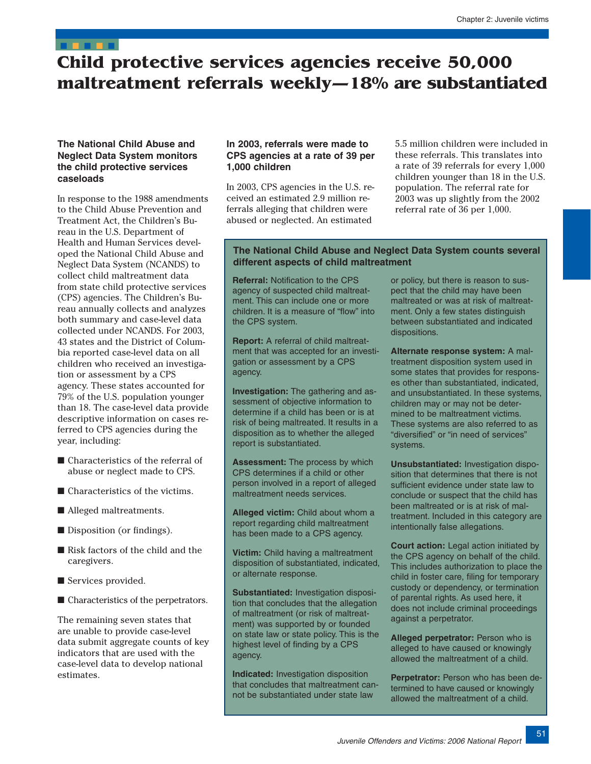# <span id="page-33-0"></span>**Child protective services agencies receive 50,000 maltreatment referrals weekly—18% are substantiated**

# **The National Child Abuse and Neglect Data System monitors the child protective services caseloads**

In response to the 1988 amendments to the Child Abuse Prevention and Treatment Act, the Children's Bureau in the U.S. Department of Health and Human Services developed the National Child Abuse and Neglect Data System (NCANDS) to collect child maltreatment data from state child protective services (CPS) agencies. The Children's Bureau annually collects and analyzes both summary and case-level data collected under NCANDS. For 2003, 43 states and the District of Columbia reported case-level data on all children who received an investigation or assessment by a CPS agency. These states accounted for 79% of the U.S. population younger than 18. The case-level data provide descriptive information on cases referred to CPS agencies during the year, including:

- Characteristics of the referral of abuse or neglect made to CPS.
- Characteristics of the victims.
- Alleged maltreatments.
- Disposition (or findings).
- Risk factors of the child and the caregivers.
- Services provided.
- Characteristics of the perpetrators.

The remaining seven states that are unable to provide case-level data submit aggregate counts of key indicators that are used with the case-level data to develop national estimates.

# **In 2003, referrals were made to CPS agencies at a rate of 39 per 1,000 children**

In 2003, CPS agencies in the U.S. received an estimated 2.9 million referrals alleging that children were abused or neglected. An estimated

5.5 million children were included in these referrals. This translates into a rate of 39 referrals for every 1,000 children younger than 18 in the U.S. population. The referral rate for 2003 was up slightly from the 2002 referral rate of 36 per 1,000.

# **The National Child Abuse and Neglect Data System counts several different aspects of child maltreatment**

**Referral:** Notification to the CPS agency of suspected child maltreatment. This can include one or more children. It is a measure of "flow" into the CPS system.

**Report:** A referral of child maltreatment that was accepted for an investigation or assessment by a CPS agency.

**Investigation:** The gathering and assessment of objective information to determine if a child has been or is at risk of being maltreated. It results in a disposition as to whether the alleged report is substantiated.

**Assessment:** The process by which CPS determines if a child or other person involved in a report of alleged maltreatment needs services.

**Alleged victim:** Child about whom a report regarding child maltreatment has been made to a CPS agency.

**Victim:** Child having a maltreatment disposition of substantiated, indicated, or alternate response.

**Substantiated:** Investigation disposition that concludes that the allegation of maltreatment (or risk of maltreatment) was supported by or founded on state law or state policy. This is the highest level of finding by a CPS agency.

**Indicated:** Investigation disposition that concludes that maltreatment cannot be substantiated under state law

or policy, but there is reason to suspect that the child may have been maltreated or was at risk of maltreatment. Only a few states distinguish between substantiated and indicated dispositions.

**Alternate response system:** A maltreatment disposition system used in some states that provides for responses other than substantiated, indicated, and unsubstantiated. In these systems, children may or may not be determined to be maltreatment victims. These systems are also referred to as "diversified" or "in need of services" systems.

**Unsubstantiated:** Investigation disposition that determines that there is not sufficient evidence under state law to conclude or suspect that the child has been maltreated or is at risk of maltreatment. Included in this category are intentionally false allegations.

**Court action:** Legal action initiated by the CPS agency on behalf of the child. This includes authorization to place the child in foster care, filing for temporary custody or dependency, or termination of parental rights. As used here, it does not include criminal proceedings against a perpetrator.

**Alleged perpetrator: Person who is** alleged to have caused or knowingly allowed the maltreatment of a child.

**Perpetrator:** Person who has been determined to have caused or knowingly allowed the maltreatment of a child.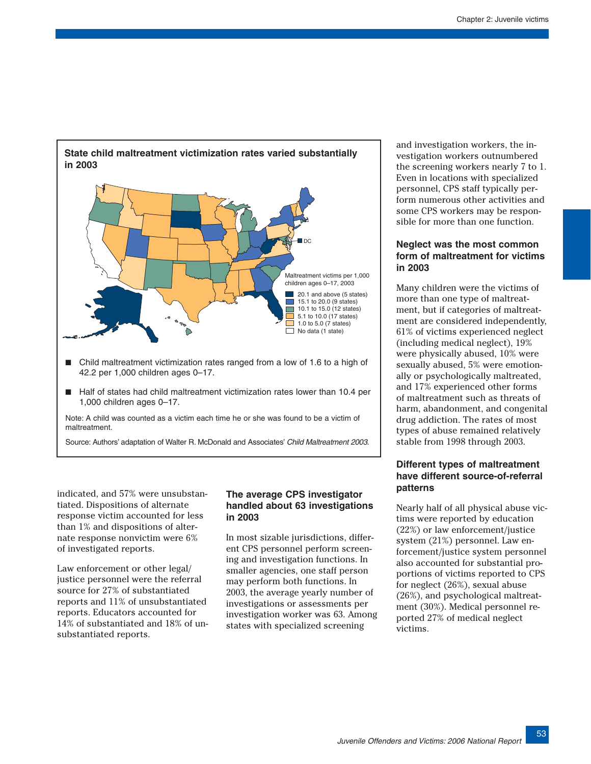

■ Half of states had child maltreatment victimization rates lower than 10.4 per 1,000 children ages 0–17.

Note: A child was counted as a victim each time he or she was found to be a victim of maltreatment.

Source: Authors' adaptation of Walter R. McDonald and Associates' Child Maltreatment 2003.

indicated, and 57% were unsubstantiated. Dispositions of alternate response victim accounted for less than 1% and dispositions of alternate response nonvictim were 6% of investigated reports.

Law enforcement or other legal/ justice personnel were the referral source for 27% of substantiated reports and 11% of unsubstantiated reports. Educators accounted for 14% of substantiated and 18% of unsubstantiated reports.

# **The average CPS investigator handled about 63 investigations in 2003**

In most sizable jurisdictions, different CPS personnel perform screening and investigation functions. In smaller agencies, one staff person may perform both functions. In 2003, the average yearly number of investigations or assessments per investigation worker was 63. Among states with specialized screening

and investigation workers, the investigation workers outnumbered the screening workers nearly 7 to 1. Even in locations with specialized personnel, CPS staff typically perform numerous other activities and some CPS workers may be responsible for more than one function.

# **Neglect was the most common form of maltreatment for victims in 2003**

Many children were the victims of more than one type of maltreatment, but if categories of maltreatment are considered independently, 61% of victims experienced neglect (including medical neglect), 19% were physically abused, 10% were sexually abused, 5% were emotionally or psychologically maltreated, and 17% experienced other forms of maltreatment such as threats of harm, abandonment, and congenital drug addiction. The rates of most types of abuse remained relatively stable from 1998 through 2003.

# **Different types of maltreatment have different source-of-referral patterns**

Nearly half of all physical abuse victims were reported by education (22%) or law enforcement/justice system (21%) personnel. Law enforcement/justice system personnel also accounted for substantial proportions of victims reported to CPS for neglect (26%), sexual abuse (26%), and psychological maltreatment (30%). Medical personnel reported 27% of medical neglect victims.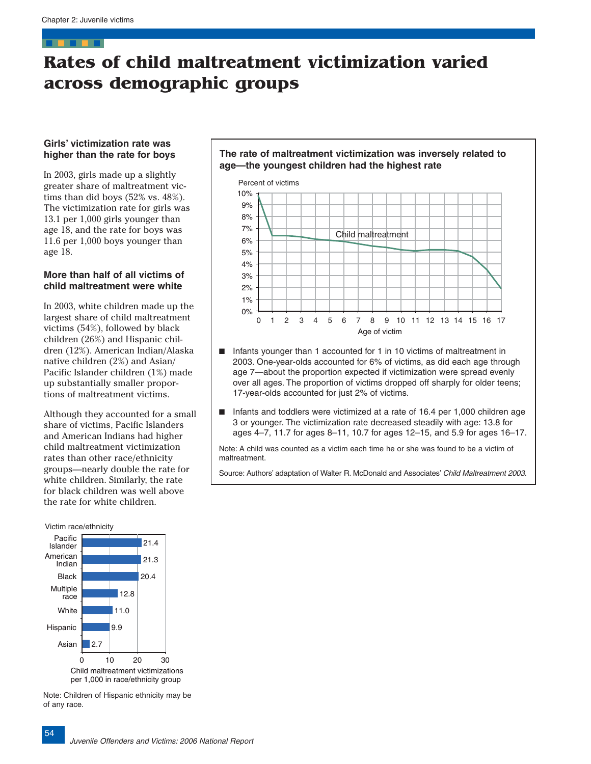# <span id="page-36-0"></span>**Rates of child maltreatment victimization varied across demographic groups**

### **Girls' victimization rate was higher than the rate for boys**

In 2003, girls made up a slightly greater share of maltreatment victims than did boys (52% vs. 48%). The victimization rate for girls was 13.1 per 1,000 girls younger than age 18, and the rate for boys was 11.6 per 1,000 boys younger than age 18.

# **More than half of all victims of child maltreatment were white**

In 2003, white children made up the largest share of child maltreatment victims (54%), followed by black children (26%) and Hispanic children (12%). American Indian/Alaska native children (2%) and Asian/ Pacific Islander children (1%) made up substantially smaller proportions of maltreatment victims.

Although they accounted for a small share of victims, Pacific Islanders and American Indians had higher child maltreatment victimization rates than other race/ethnicity groups—nearly double the rate for white children. Similarly, the rate for black children was well above the rate for white children.

#### Victim race/ethnicity



Note: Children of Hispanic ethnicity may be of any race.





- Infants younger than 1 accounted for 1 in 10 victims of maltreatment in 2003. One-year-olds accounted for 6% of victims, as did each age through age 7—about the proportion expected if victimization were spread evenly over all ages. The proportion of victims dropped off sharply for older teens; 17-year-olds accounted for just 2% of victims.
- Infants and toddlers were victimized at a rate of 16.4 per 1,000 children age 3 or younger. The victimization rate decreased steadily with age: 13.8 for ages 4–7, 11.7 for ages 8–11, 10.7 for ages 12–15, and 5.9 for ages 16–17.

Note: A child was counted as a victim each time he or she was found to be a victim of maltreatment.

Source: Authors' adaptation of Walter R. McDonald and Associates' Child Maltreatment 2003.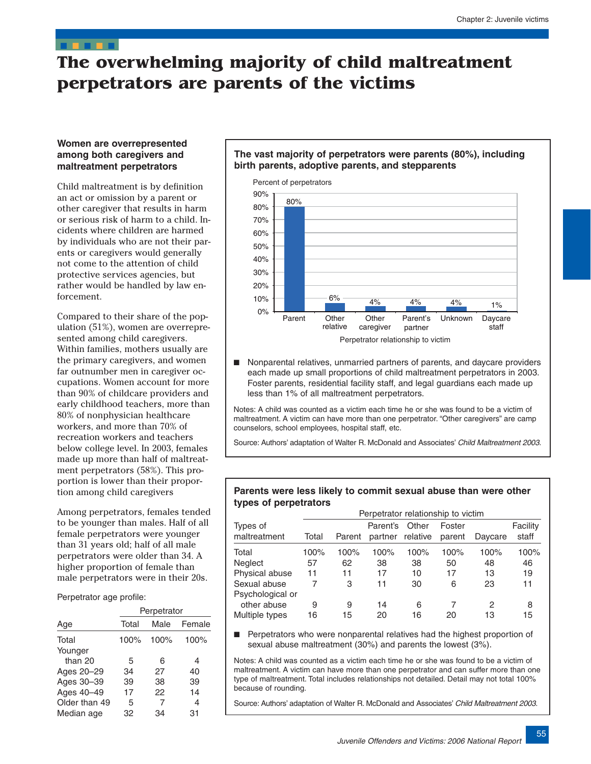# <span id="page-37-0"></span>**The overwhelming majority of child maltreatment perpetrators are parents of the victims**

# **Women are overrepresented among both caregivers and maltreatment perpetrators**

Child maltreatment is by definition an act or omission by a parent or other caregiver that results in harm or serious risk of harm to a child. Incidents where children are harmed by individuals who are not their parents or caregivers would generally not come to the attention of child protective services agencies, but rather would be handled by law enforcement.

Compared to their share of the population (51%), women are overrepresented among child caregivers. Within families, mothers usually are the primary caregivers, and women far outnumber men in caregiver occupations. Women account for more than 90% of childcare providers and early childhood teachers, more than 80% of nonphysician healthcare workers, and more than 70% of recreation workers and teachers below college level. In 2003, females made up more than half of maltreatment perpetrators (58%). This proportion is lower than their proportion among child caregivers

Among perpetrators, females tended to be younger than males. Half of all female perpetrators were younger than 31 years old; half of all male perpetrators were older than 34. A higher proportion of female than male perpetrators were in their 20s.

Perpetrator age profile:

|               | Perpetrator |      |        |  |  |
|---------------|-------------|------|--------|--|--|
| Age           | Total       | Male | Female |  |  |
| Total         | 100%        | 100% | 100%   |  |  |
| Younger       |             |      |        |  |  |
| than $20$     | 5           | 6    | 4      |  |  |
| Ages 20-29    | 34          | 27   | 40     |  |  |
| Ages 30-39    | 39          | 38   | 39     |  |  |
| Ages 40-49    | 17          | 22   | 14     |  |  |
| Older than 49 | 5           | 7    | 4      |  |  |
| Median age    | 32          | 34   | 31     |  |  |

# **The vast majority of perpetrators were parents (80%), including birth parents, adoptive parents, and stepparents**



■ Nonparental relatives, unmarried partners of parents, and daycare providers each made up small proportions of child maltreatment perpetrators in 2003. Foster parents, residential facility staff, and legal guardians each made up less than 1% of all maltreatment perpetrators.

Notes: A child was counted as a victim each time he or she was found to be a victim of maltreatment. A victim can have more than one perpetrator. "Other caregivers" are camp counselors, school employees, hospital staff, etc.

Source: Authors' adaptation of Walter R. McDonald and Associates' Child Maltreatment 2003.

#### **Parents were less likely to commit sexual abuse than were other types of perpetrators**

|                  |       | Perpetrator relationship to victim |          |                  |        |         |          |
|------------------|-------|------------------------------------|----------|------------------|--------|---------|----------|
| Types of         |       |                                    | Parent's | Other            | Foster |         | Facility |
| maltreatment     | Total | Parent                             |          | partner relative | parent | Davcare | staff    |
| Total            | 100%  | 100%                               | 100%     | 100%             | 100%   | 100%    | 100%     |
| <b>Neglect</b>   | 57    | 62                                 | 38       | 38               | 50     | 48      | 46       |
| Physical abuse   | 11    | 11                                 | 17       | 10               | 17     | 13      | 19       |
| Sexual abuse     | 7     | 3                                  | 11       | 30               | 6      | 23      | 11       |
| Psychological or |       |                                    |          |                  |        |         |          |
| other abuse      | 9     | 9                                  | 14       | 6                | 7      | 2       | 8        |
| Multiple types   | 16    | 15                                 | 20       | 16               | 20     | 13      | 15       |

■ Perpetrators who were nonparental relatives had the highest proportion of sexual abuse maltreatment (30%) and parents the lowest (3%).

Notes: A child was counted as a victim each time he or she was found to be a victim of maltreatment. A victim can have more than one perpetrator and can suffer more than one type of maltreatment. Total includes relationships not detailed. Detail may not total 100% because of rounding.

Source: Authors' adaptation of Walter R. McDonald and Associates' Child Maltreatment 2003.

55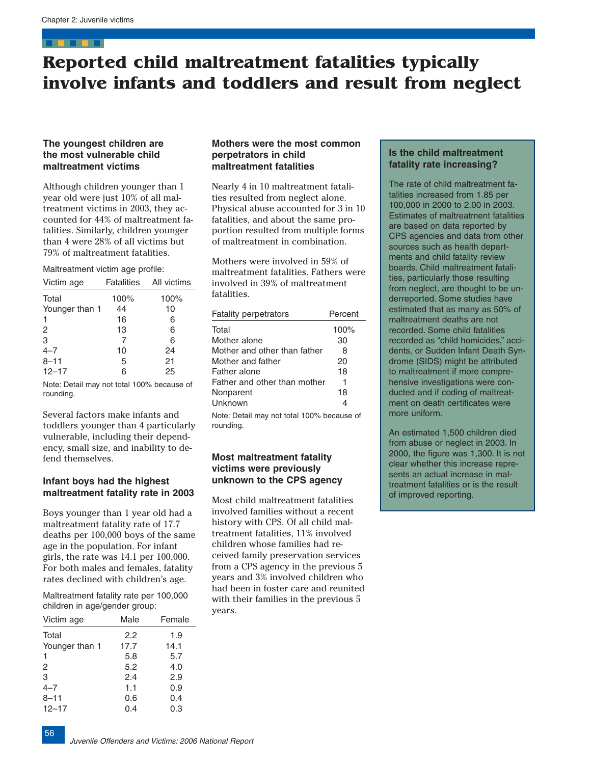# <span id="page-38-0"></span>**Reported child maltreatment fatalities typically involve infants and toddlers and result from neglect**

# **The youngest children are the most vulnerable child maltreatment victims**

Although children younger than 1 year old were just 10% of all maltreatment victims in 2003, they accounted for 44% of maltreatment fatalities. Similarly, children younger than 4 were 28% of all victims but 79% of maltreatment fatalities.

#### Maltreatment victim age profile:

| Victim age     |      | Fatalities All victims |
|----------------|------|------------------------|
| Total          | 100% | 100%                   |
| Younger than 1 | 44   | 10                     |
| 1              | 16   | 6                      |
| 2              | 13   | 6                      |
| 3              | 7    | 6                      |
| $4 - 7$        | 10   | 24                     |
| $8 - 11$       | 5    | 21                     |
| $12 - 17$      | 6    | 25                     |

Note: Detail may not total 100% because of rounding.

Several factors make infants and toddlers younger than 4 particularly vulnerable, including their dependency, small size, and inability to defend themselves.

# **Infant boys had the highest maltreatment fatality rate in 2003**

Boys younger than 1 year old had a maltreatment fatality rate of 17.7 deaths per 100,000 boys of the same age in the population. For infant girls, the rate was 14.1 per 100,000. For both males and females, fatality rates declined with children's age.

Maltreatment fatality rate per 100,000 children in age/gender group:

| Victim age     | Male | Female |
|----------------|------|--------|
| Total          | 2.2  | 1.9    |
| Younger than 1 | 17.7 | 14.1   |
| 1              | 5.8  | 5.7    |
| 2              | 5.2  | 4.0    |
| 3              | 2.4  | 2.9    |
| $4 - 7$        | 1.1  | 0.9    |
| $8 - 11$       | 0.6  | 0.4    |
| $12 - 17$      | 0.4  | 0.3    |

56

# **Mothers were the most common perpetrators in child maltreatment fatalities**

Nearly 4 in 10 maltreatment fatalities resulted from neglect alone. Physical abuse accounted for 3 in 10 fatalities, and about the same proportion resulted from multiple forms of maltreatment in combination.

Mothers were involved in 59% of maltreatment fatalities. Fathers were involved in 39% of maltreatment fatalities.

| <b>Fatality perpetrators</b>               | Percent |
|--------------------------------------------|---------|
| Total                                      | 100%    |
| Mother alone                               | 30      |
| Mother and other than father               | 8       |
| Mother and father                          | 20      |
| Father alone                               | 18      |
| Father and other than mother               |         |
| Nonparent                                  | 18      |
| Unknown                                    | 4       |
| Note: Detail may not total 100% because of |         |

Note: Detail may not total 100% because of rounding.

# **Most maltreatment fatality victims were previously unknown to the CPS agency**

Most child maltreatment fatalities involved families without a recent history with CPS. Of all child maltreatment fatalities, 11% involved children whose families had received family preservation services from a CPS agency in the previous 5 years and 3% involved children who had been in foster care and reunited with their families in the previous 5 years.

# **Is the child maltreatment fatality rate increasing?**

The rate of child maltreatment fatalities increased from 1.85 per 100,000 in 2000 to 2.00 in 2003. Estimates of maltreatment fatalities are based on data reported by CPS agencies and data from other sources such as health departments and child fatality review boards. Child maltreatment fatalities, particularly those resulting from neglect, are thought to be underreported. Some studies have estimated that as many as 50% of maltreatment deaths are not recorded. Some child fatalities recorded as "child homicides," accidents, or Sudden Infant Death Syndrome (SIDS) might be attributed to maltreatment if more comprehensive investigations were conducted and if coding of maltreatment on death certificates were more uniform.

An estimated 1,500 children died from abuse or neglect in 2003. In 2000, the figure was 1,300. It is not clear whether this increase represents an actual increase in maltreatment fatalities or is the result of improved reporting.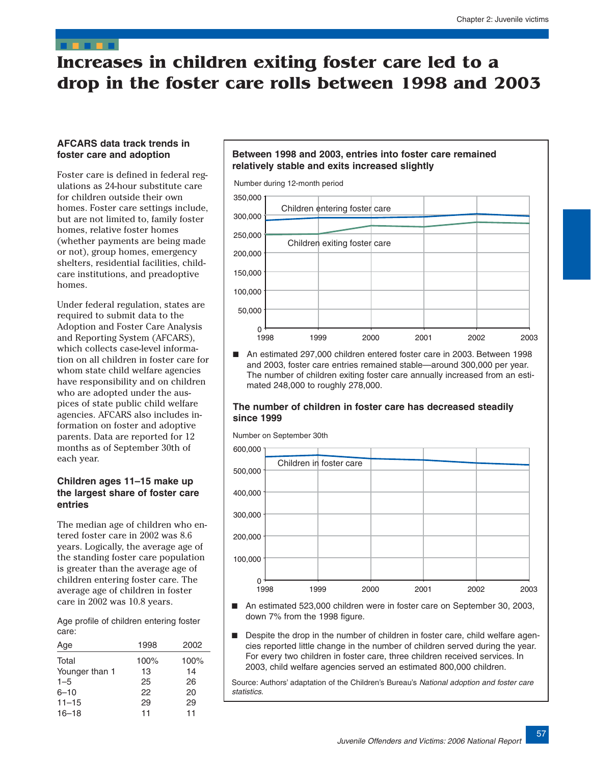# <span id="page-39-0"></span>**Increases in children exiting foster care led to a drop in the foster care rolls between 1998 and 2003**

# **AFCARS data track trends in foster care and adoption**

Foster care is defined in federal regulations as 24-hour substitute care for children outside their own homes. Foster care settings include, but are not limited to, family foster homes, relative foster homes (whether payments are being made or not), group homes, emergency shelters, residential facilities, childcare institutions, and preadoptive homes.

Under federal regulation, states are required to submit data to the Adoption and Foster Care Analysis and Reporting System (AFCARS), which collects case-level information on all children in foster care for whom state child welfare agencies have responsibility and on children who are adopted under the auspices of state public child welfare agencies. AFCARS also includes information on foster and adoptive parents. Data are reported for 12 months as of September 30th of each year.

# **Children ages 11–15 make up the largest share of foster care entries**

The median age of children who entered foster care in 2002 was 8.6 years. Logically, the average age of the standing foster care population is greater than the average age of children entering foster care. The average age of children in foster care in 2002 was 10.8 years.

Age profile of children entering foster care:

| Age            | 1998 | 2002 |
|----------------|------|------|
| Total          | 100% | 100% |
| Younger than 1 | 13   | 14   |
| $1 - 5$        | 25   | 26   |
| $6 - 10$       | 22   | 20   |
| $11 - 15$      | 29   | 29   |
| $16 - 18$      | 11   | 11   |
|                |      |      |

# **Between 1998 and 2003, entries into foster care remained relatively stable and exits increased slightly**



■ An estimated 297,000 children entered foster care in 2003. Between 1998 and 2003, foster care entries remained stable—around 300,000 per year. The number of children exiting foster care annually increased from an estimated 248,000 to roughly 278,000.

### **The number of children in foster care has decreased steadily since 1999**

Number on September 30th



- An estimated 523,000 children were in foster care on September 30, 2003, down 7% from the 1998 figure.
- Despite the drop in the number of children in foster care, child welfare agencies reported little change in the number of children served during the year. For every two children in foster care, three children received services. In 2003, child welfare agencies served an estimated 800,000 children.

Source: Authors' adaptation of the Children's Bureau's National adoption and foster care statistics.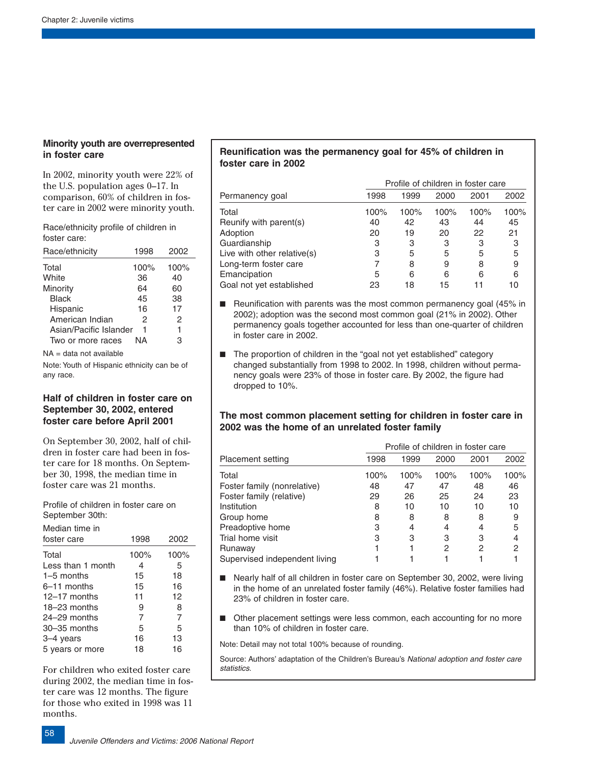# **Minority youth are overrepresented in foster care**

In 2002, minority youth were 22% of the U.S. population ages 0–17. In comparison, 60% of children in foster care in 2002 were minority youth.

Race/ethnicity profile of children in foster care:

| Race/ethnicity         | 1998 | 2002 |
|------------------------|------|------|
| Total                  | 100% | 100% |
| White                  | 36   | 40   |
| Minority               | 64   | 60   |
| <b>Black</b>           | 45   | 38   |
| Hispanic               | 16   | 17   |
| American Indian        | 2    | 2    |
| Asian/Pacific Islander | 1    | 1    |
| Two or more races      | NА   | 3    |

 $NA = data$  not available

Note: Youth of Hispanic ethnicity can be of any race.

# **Half of children in foster care on September 30, 2002, entered foster care before April 2001**

On September 30, 2002, half of children in foster care had been in foster care for 18 months. On September 30, 1998, the median time in foster care was 21 months.

Profile of children in foster care on September 30th:

| Median time in    |                |      |
|-------------------|----------------|------|
| foster care       | 1998           | 2002 |
| Total             | 100%           | 100% |
| Less than 1 month | 4              | 5    |
| $1-5$ months      | 15             | 18   |
| $6-11$ months     | 15             | 16   |
| $12-17$ months    | 11             | 12   |
| $18-23$ months    | 9              | 8    |
| $24 - 29$ months  | $\overline{7}$ | 7    |
| $30 - 35$ months  | 5              | 5    |
| 3-4 years         | 16             | 13   |
| 5 years or more   | 18             | 16   |

For children who exited foster care during 2002, the median time in foster care was 12 months. The figure for those who exited in 1998 was 11 months.

# **Reunification was the permanency goal for 45% of children in foster care in 2002**

|                             | Profile of children in foster care |      |      |      |      |
|-----------------------------|------------------------------------|------|------|------|------|
| Permanency goal             | 1998                               | 1999 | 2000 | 2001 | 2002 |
| Total                       | 100%                               | 100% | 100% | 100% | 100% |
| Reunify with parent(s)      | 40                                 | 42   | 43   | 44   | 45   |
| Adoption                    | 20                                 | 19   | 20   | 22   | 21   |
| Guardianship                | 3                                  | 3    | 3    | 3    | 3    |
| Live with other relative(s) | 3                                  | 5    | 5    | 5    | 5    |
| Long-term foster care       |                                    | 8    | 9    | 8    | 9    |
| Emancipation                | 5                                  | 6    | 6    | 6    | 6    |
| Goal not yet established    | 23                                 | 18   | 15   |      | 10   |

■ Reunification with parents was the most common permanency goal (45% in 2002); adoption was the second most common goal (21% in 2002). Other permanency goals together accounted for less than one-quarter of children in foster care in 2002.

■ The proportion of children in the "goal not yet established" category changed substantially from 1998 to 2002. In 1998, children without permanency goals were 23% of those in foster care. By 2002, the figure had dropped to 10%.

# **The most common placement setting for children in foster care in 2002 was the home of an unrelated foster family**

|                               |      | Profile of children in foster care |      |      |      |  |
|-------------------------------|------|------------------------------------|------|------|------|--|
| <b>Placement setting</b>      | 1998 | 1999                               | 2000 | 2001 | 2002 |  |
| Total                         | 100% | 100%                               | 100% | 100% | 100% |  |
| Foster family (nonrelative)   | 48   | 47                                 | 47   | 48   | 46   |  |
| Foster family (relative)      | 29   | 26                                 | 25   | 24   | 23   |  |
| Institution                   | 8    | 10                                 | 10   | 10   | 10   |  |
| Group home                    | 8    | 8                                  | 8    | 8    | 9    |  |
| Preadoptive home              | 3    | 4                                  | 4    | 4    | 5    |  |
| Trial home visit              | 3    | 3                                  | 3    | 3    | 4    |  |
| Runaway                       |      |                                    | 2    | 2    | 2    |  |
| Supervised independent living |      |                                    |      |      |      |  |

- Nearly half of all children in foster care on September 30, 2002, were living in the home of an unrelated foster family (46%). Relative foster families had 23% of children in foster care.
- Other placement settings were less common, each accounting for no more than 10% of children in foster care.

Note: Detail may not total 100% because of rounding.

Source: Authors' adaptation of the Children's Bureau's National adoption and foster care statistics.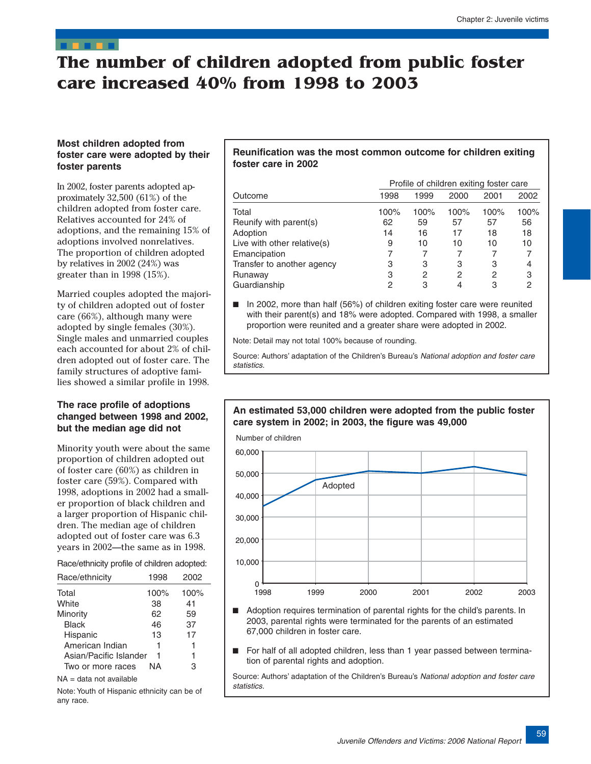# <span id="page-41-0"></span>**The number of children adopted from public foster care increased 40% from 1998 to 2003**

# **Most children adopted from foster care were adopted by their foster parents**

In 2002, foster parents adopted approximately 32,500 (61%) of the children adopted from foster care. Relatives accounted for 24% of adoptions, and the remaining 15% of adoptions involved nonrelatives. The proportion of children adopted by relatives in 2002 (24%) was greater than in 1998 (15%).

Married couples adopted the majority of children adopted out of foster care (66%), although many were adopted by single females (30%). Single males and unmarried couples each accounted for about 2% of children adopted out of foster care. The family structures of adoptive families showed a similar profile in 1998.

# **The race profile of adoptions changed between 1998 and 2002, but the median age did not**

Minority youth were about the same proportion of children adopted out of foster care (60%) as children in foster care (59%). Compared with 1998, adoptions in 2002 had a smaller proportion of black children and a larger proportion of Hispanic children. The median age of children adopted out of foster care was 6.3 years in 2002—the same as in 1998.

Race/ethnicity profile of children adopted:

| Race/ethnicity                | 1998 | 2002 |  |
|-------------------------------|------|------|--|
| Total                         | 100% | 100% |  |
| White                         | 38   | 41   |  |
| Minority                      | 62   | 59   |  |
| <b>Black</b>                  | 46   | 37   |  |
| Hispanic                      | 13   | 17   |  |
| American Indian               | 1    | 1    |  |
| Asian/Pacific Islander        | 1    | 1    |  |
| Two or more races             | ΝA   | 3    |  |
| والمادان ويتمسك والملوك الملك |      |      |  |

NA = data not available

Note: Youth of Hispanic ethnicity can be of any race.

# **Reunification was the most common outcome for children exiting foster care in 2002**

|                             |      | Profile of children exiting foster care |      |      |      |  |  |
|-----------------------------|------|-----------------------------------------|------|------|------|--|--|
| Outcome                     | 1998 | 1999                                    | 2000 | 2001 | 2002 |  |  |
| Total                       | 100% | 100%                                    | 100% | 100% | 100% |  |  |
| Reunify with parent(s)      | 62   | 59                                      | 57   | 57   | 56   |  |  |
| Adoption                    | 14   | 16                                      | 17   | 18   | 18   |  |  |
| Live with other relative(s) | 9    | 10                                      | 10   | 10   | 10   |  |  |
| Emancipation                |      |                                         |      |      |      |  |  |
| Transfer to another agency  | 3    | 3                                       | 3    | 3    | 4    |  |  |
| Runaway                     | 3    | 2                                       | 2    | 2    | 3    |  |  |
| Guardianship                | 2    | 3                                       |      | 3    | 2    |  |  |

■ In 2002, more than half (56%) of children exiting foster care were reunited with their parent(s) and 18% were adopted. Compared with 1998, a smaller proportion were reunited and a greater share were adopted in 2002.

Note: Detail may not total 100% because of rounding.

Source: Authors' adaptation of the Children's Bureau's National adoption and foster care statistics.

**An estimated 53,000 children were adopted from the public foster** 

**care system in 2002; in 2003, the figure was 49,000** 

# 1998 1999 2000 2001 2002 2003  $0 -$ <br>1998 10,000 20,000 30,000 40,000 50,000 60,000 Number of children Adopted

- Adoption requires termination of parental rights for the child's parents. In 2003, parental rights were terminated for the parents of an estimated 67,000 children in foster care.
- For half of all adopted children, less than 1 year passed between termination of parental rights and adoption.

Source: Authors' adaptation of the Children's Bureau's National adoption and foster care statistics.

59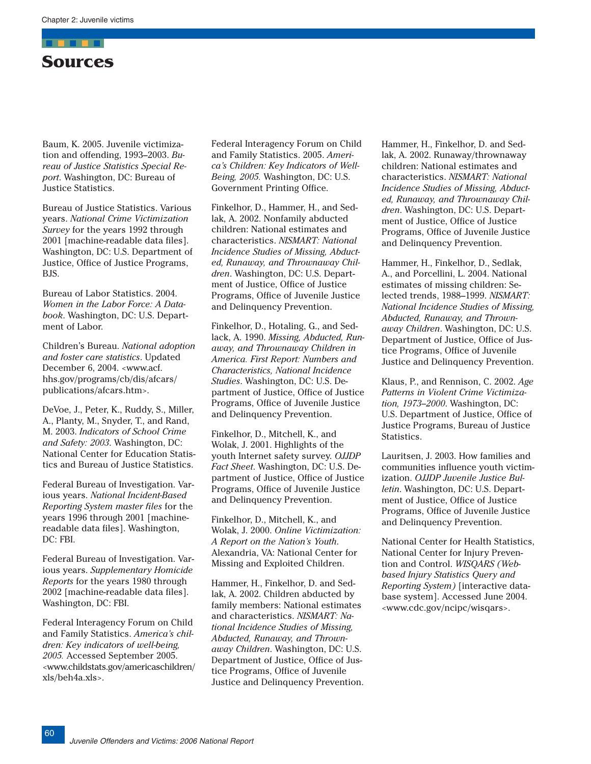<span id="page-42-0"></span>

Baum, K. 2005. Juvenile victimization and offending, 1993–2003. *Bureau of Justice Statistics Special Report*. Washington, DC: Bureau of Justice Statistics.

Bureau of Justice Statistics. Various years. *National Crime Victimization Survey* for the years 1992 through 2001 [machine-readable data files]. Washington, DC: U.S. Department of Justice, Office of Justice Programs, BJS.

Bureau of Labor Statistics. 2004. *Women in the Labor Force: A Databook*. Washington, DC: U.S. Department of Labor.

Children's Bureau. *National adoption and foster care statistics*. Updated December 6, 2004. <www.acf. hhs.gov/programs/cb/dis/afcars/ publications/afcars.htm>.

DeVoe, J., Peter, K., Ruddy, S., Miller, A., Planty, M., Snyder, T., and Rand, M. 2003. *Indicators of School Crime and Safety: 2003*. Washington, DC: National Center for Education Statistics and Bureau of Justice Statistics.

Federal Bureau of Investigation. Various years. *National Incident-Based Reporting System master files* for the years 1996 through 2001 [machinereadable data files]. Washington, DC: FBI.

Federal Bureau of Investigation. Various years. *Supplementary Homicide Reports* for the years 1980 through 2002 [machine-readable data files]. Washington, DC: FBI.

Federal Interagency Forum on Child and Family Statistics. *America's children: Key indicators of well-being, 2005.* Accessed September 2005. <www.childstats.gov/americaschildren/ xls/beh4a.xls>.

Federal Interagency Forum on Child and Family Statistics. 2005. *America's Children: Key Indicators of Well-Being, 2005.* Washington, DC: U.S. Government Printing Office.

Finkelhor, D., Hammer, H., and Sedlak, A. 2002. Nonfamily abducted children: National estimates and characteristics. *NISMART: National Incidence Studies of Missing, Abducted, Runaway, and Thrownaway Children*. Washington, DC: U.S. Department of Justice, Office of Justice Programs, Office of Juvenile Justice and Delinquency Prevention.

Finkelhor, D., Hotaling, G., and Sedlack, A. 1990. *Missing, Abducted, Runaway, and Thrownaway Children in America. First Report: Numbers and Characteristics, National Incidence Studies*. Washington, DC: U.S. Department of Justice, Office of Justice Programs, Office of Juvenile Justice and Delinquency Prevention.

Finkelhor, D., Mitchell, K., and Wolak, J. 2001. Highlights of the youth Internet safety survey. *OJJDP Fact Sheet*. Washington, DC: U.S. Department of Justice, Office of Justice Programs, Office of Juvenile Justice and Delinquency Prevention.

Finkelhor, D., Mitchell, K., and Wolak, J. 2000. *Online Victimization: A Report on the Nation's Youth*. Alexandria, VA: National Center for Missing and Exploited Children.

Hammer, H., Finkelhor, D. and Sedlak, A. 2002. Children abducted by family members: National estimates and characteristics. *NISMART: National Incidence Studies of Missing, Abducted, Runaway, and Thrownaway Children*. Washington, DC: U.S. Department of Justice, Office of Justice Programs, Office of Juvenile Justice and Delinquency Prevention. Hammer, H., Finkelhor, D. and Sedlak, A. 2002. Runaway/thrownaway children: National estimates and characteristics. *NISMART: National Incidence Studies of Missing, Abducted, Runaway, and Thrownaway Children*. Washington, DC: U.S. Department of Justice, Office of Justice Programs, Office of Juvenile Justice and Delinquency Prevention.

Hammer, H., Finkelhor, D., Sedlak, A., and Porcellini, L. 2004. National estimates of missing children: Selected trends, 1988–1999. *NISMART: National Incidence Studies of Missing, Abducted, Runaway, and Thrownaway Children*. Washington, DC: U.S. Department of Justice, Office of Justice Programs, Office of Juvenile Justice and Delinquency Prevention.

Klaus, P., and Rennison, C. 2002. *Age Patterns in Violent Crime Victimization, 1973–2000*. Washington, DC: U.S. Department of Justice, Office of Justice Programs, Bureau of Justice Statistics.

Lauritsen, J. 2003. How families and communities influence youth victimization. *OJJDP Juvenile Justice Bulletin*. Washington, DC: U.S. Department of Justice, Office of Justice Programs, Office of Juvenile Justice and Delinquency Prevention.

National Center for Health Statistics, National Center for Injury Prevention and Control. *WISQARS (Webbased Injury Statistics Query and Reporting System)* [interactive database system]. Accessed June 2004. <www.cdc.gov/ncipc/wisqars>.